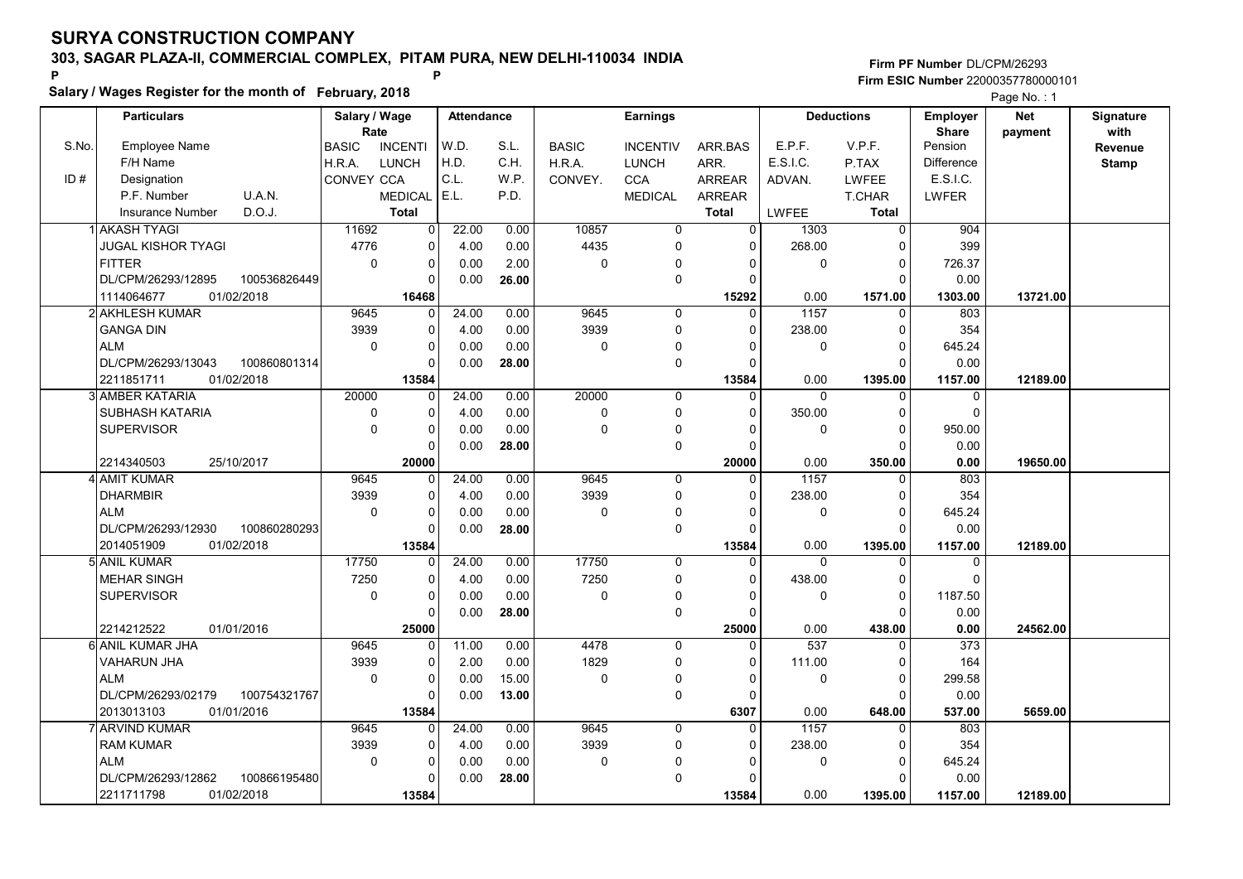Salary / Wages Register for the month of February, 2018

### Firm PF Number DL/CPM/26293 Firm ESIC Number <sup>22000357780000101</sup> P P

|       | <b>Particulars</b>                 | Salary / Wage        |                | <b>Attendance</b> |       |              | <b>Earnings</b> |                |              | <b>Deductions</b> | Employer         | <b>Net</b> | Signature       |
|-------|------------------------------------|----------------------|----------------|-------------------|-------|--------------|-----------------|----------------|--------------|-------------------|------------------|------------|-----------------|
| S.No. | Employee Name                      | Rate<br><b>BASIC</b> | <b>INCENTI</b> | W.D.              | S.L.  | <b>BASIC</b> | <b>INCENTIV</b> | ARR.BAS        | E.P.F.       | V.P.F.            | Share<br>Pension | payment    | with<br>Revenue |
|       | F/H Name                           | H.R.A.               | <b>LUNCH</b>   | H.D.              | C.H.  | H.R.A.       | <b>LUNCH</b>    | ARR.           | E.S.I.C.     | P.TAX             | Difference       |            | <b>Stamp</b>    |
| ID#   | Designation                        | <b>CONVEY CCA</b>    |                | C.L.              | W.P.  | CONVEY.      | <b>CCA</b>      | <b>ARREAR</b>  | ADVAN.       | <b>LWFEE</b>      | E.S.I.C.         |            |                 |
|       | U.A.N.<br>P.F. Number              |                      | <b>MEDICAL</b> | E.L.              | P.D.  |              | <b>MEDICAL</b>  | <b>ARREAR</b>  |              | T.CHAR            | <b>LWFER</b>     |            |                 |
|       | D.O.J.<br><b>Insurance Number</b>  |                      | <b>Total</b>   |                   |       |              |                 | <b>Total</b>   | <b>LWFEE</b> | <b>Total</b>      |                  |            |                 |
|       | 1 AKASH TYAGI                      | 11692                | 0              | 22.00             | 0.00  | 10857        | $\overline{0}$  | $\overline{0}$ | 1303         | $\overline{0}$    | 904              |            |                 |
|       | <b>JUGAL KISHOR TYAGI</b>          | 4776                 | 0              | 4.00              | 0.00  | 4435         | 0               | $\mathbf 0$    | 268.00       | $\mathbf 0$       | 399              |            |                 |
|       | <b>FITTER</b>                      | $\mathbf 0$          | $\Omega$       | 0.00              | 2.00  | $\mathbf 0$  | 0               | $\mathbf 0$    | $\mathbf 0$  | $\pmb{0}$         | 726.37           |            |                 |
|       | DL/CPM/26293/12895<br>100536826449 |                      | 0              | 0.00              | 26.00 |              | 0               | $\Omega$       |              | $\Omega$          | 0.00             |            |                 |
|       | 1114064677<br>01/02/2018           |                      | 16468          |                   |       |              |                 | 15292          | 0.00         | 1571.00           | 1303.00          | 13721.00   |                 |
|       | 2 AKHLESH KUMAR                    | 9645                 | $\Omega$       | 24.00             | 0.00  | 9645         | $\Omega$        | $\mathbf{0}$   | 1157         | $\Omega$          | 803              |            |                 |
|       | <b>GANGA DIN</b>                   | 3939                 | 0              | 4.00              | 0.00  | 3939         | 0               | $\Omega$       | 238.00       | $\mathbf 0$       | 354              |            |                 |
|       | <b>ALM</b>                         | $\Omega$             | $\Omega$       | 0.00              | 0.00  | $\Omega$     | 0               | $\Omega$       | $\Omega$     | $\Omega$          | 645.24           |            |                 |
|       | DL/CPM/26293/13043<br>100860801314 |                      | $\Omega$       | 0.00              | 28.00 |              | 0               | $\Omega$       |              | $\mathbf 0$       | 0.00             |            |                 |
|       | 2211851711<br>01/02/2018           |                      | 13584          |                   |       |              |                 | 13584          | 0.00         | 1395.00           | 1157.00          | 12189.00   |                 |
|       | 3 AMBER KATARIA                    | 20000                | $\Omega$       | 24.00             | 0.00  | 20000        | $\Omega$        | $\mathbf 0$    | $\Omega$     | 0                 | 0                |            |                 |
|       | <b>SUBHASH KATARIA</b>             | $\mathbf 0$          | $\Omega$       | 4.00              | 0.00  | $\mathbf 0$  | 0               | $\Omega$       | 350.00       | $\mathbf 0$       | $\Omega$         |            |                 |
|       | <b>SUPERVISOR</b>                  | $\mathbf 0$          | $\Omega$       | 0.00              | 0.00  | $\Omega$     | 0               | $\Omega$       | $\Omega$     | $\mathbf 0$       | 950.00           |            |                 |
|       |                                    |                      | 0              | 0.00              | 28.00 |              | 0               | $\Omega$       |              | $\mathbf 0$       | 0.00             |            |                 |
|       | 2214340503<br>25/10/2017           |                      | 20000          |                   |       |              |                 | 20000          | 0.00         | 350.00            | 0.00             | 19650.00   |                 |
|       | 4 AMIT KUMAR                       | 9645                 | 0              | 24.00             | 0.00  | 9645         | $\Omega$        | $\mathbf{0}$   | 1157         | $\Omega$          | 803              |            |                 |
|       | DHARMBIR                           | 3939                 | $\Omega$       | 4.00              | 0.00  | 3939         | 0               | $\Omega$       | 238.00       | $\Omega$          | 354              |            |                 |
|       | <b>ALM</b>                         | $\mathbf 0$          | 0              | 0.00              | 0.00  | $\Omega$     | 0               | $\Omega$       | $\Omega$     | $\mathbf 0$       | 645.24           |            |                 |
|       | DL/CPM/26293/12930<br>100860280293 |                      | O              | 0.00              | 28.00 |              | 0               | $\Omega$       |              | $\Omega$          | 0.00             |            |                 |
|       | 2014051909<br>01/02/2018           |                      | 13584          |                   |       |              |                 | 13584          | 0.00         | 1395.00           | 1157.00          | 12189.00   |                 |
|       | 5 ANIL KUMAR                       | 17750                | 0              | 24.00             | 0.00  | 17750        | 0               | $\mathbf 0$    | $\Omega$     | 0                 | 0                |            |                 |
|       | <b>MEHAR SINGH</b>                 | 7250                 | $\Omega$       | 4.00              | 0.00  | 7250         | 0               | $\Omega$       | 438.00       | $\mathbf 0$       | $\Omega$         |            |                 |
|       | <b>SUPERVISOR</b>                  | $\mathbf 0$          | 0              | 0.00              | 0.00  | $\mathbf 0$  | 0               | $\mathbf 0$    | $\mathbf 0$  | 0                 | 1187.50          |            |                 |
|       |                                    |                      | O              | 0.00              | 28.00 |              | 0               | $\Omega$       |              | $\Omega$          | 0.00             |            |                 |
|       | 2214212522<br>01/01/2016           |                      | 25000          |                   |       |              |                 | 25000          | 0.00         | 438.00            | 0.00             | 24562.00   |                 |
|       | 6 ANIL KUMAR JHA                   | 9645                 | O              | 11.00             | 0.00  | 4478         | $\Omega$        | $\Omega$       | 537          | $\Omega$          | $\overline{373}$ |            |                 |
|       | <b>VAHARUN JHA</b>                 | 3939                 | 0              | 2.00              | 0.00  | 1829         | 0               | $\Omega$       | 111.00       | $\mathbf 0$       | 164              |            |                 |
|       | <b>ALM</b>                         | $\mathbf 0$          | 0              | 0.00              | 15.00 | $\mathbf 0$  | 0               | $\mathbf 0$    | $\Omega$     | 0                 | 299.58           |            |                 |
|       | DL/CPM/26293/02179<br>100754321767 |                      |                | 0.00              | 13.00 |              | 0               | $\Omega$       |              | $\Omega$          | 0.00             |            |                 |
|       | 01/01/2016<br>2013013103           |                      | 13584          |                   |       |              |                 | 6307           | 0.00         | 648.00            | 537.00           | 5659.00    |                 |
|       | 7 ARVIND KUMAR                     | 9645                 | $\Omega$       | 24.00             | 0.00  | 9645         | 0               | $\Omega$       | 1157         | $\Omega$          | 803              |            |                 |
|       | <b>RAM KUMAR</b>                   | 3939                 | 0              | 4.00              | 0.00  | 3939         | 0               | $\mathbf 0$    | 238.00       | $\mathbf 0$       | 354              |            |                 |
|       | <b>ALM</b>                         | $\mathbf 0$          | 0              | 0.00              | 0.00  | $\Omega$     | 0               | $\Omega$       | $\Omega$     | 0                 | 645.24           |            |                 |
|       | DL/CPM/26293/12862<br>100866195480 |                      | $\Omega$       | 0.00              | 28.00 |              | 0               | $\Omega$       |              | $\Omega$          | 0.00             |            |                 |
|       | 2211711798<br>01/02/2018           |                      | 13584          |                   |       |              |                 | 13584          | 0.00         | 1395.00           | 1157.00          | 12189.00   |                 |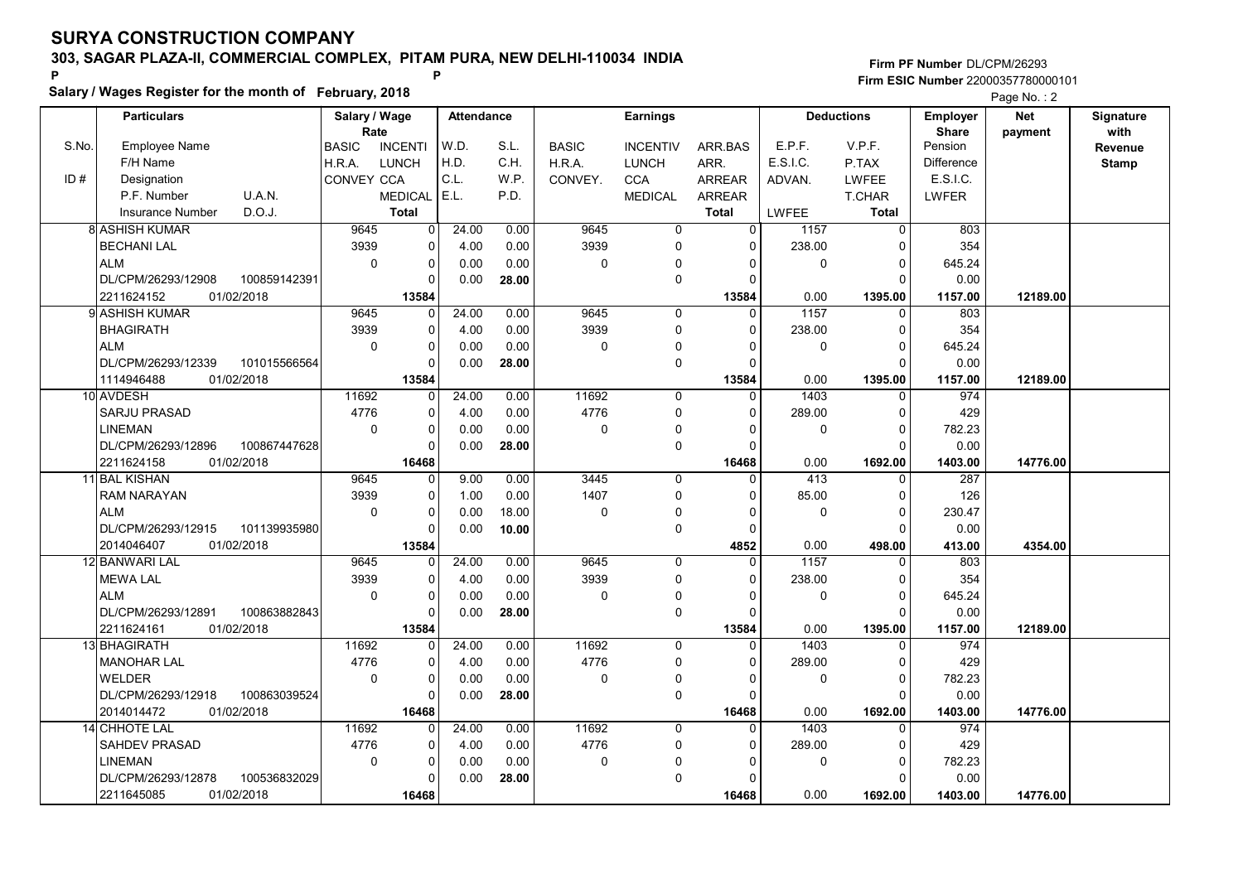Salary / Wages Register for the month of February, 2018

### Firm PF Number DL/CPM/26293 Firm ESIC Number <sup>22000357780000101</sup> P P

|       |                                    | Salary / Wage |                | <b>Attendance</b> |       |              |                 |               |             | <b>Deductions</b> |                                 | $1$ ago $1$ $0$ . $2$<br><b>Net</b> |                   |
|-------|------------------------------------|---------------|----------------|-------------------|-------|--------------|-----------------|---------------|-------------|-------------------|---------------------------------|-------------------------------------|-------------------|
|       | <b>Particulars</b>                 | Rate          |                |                   |       |              | <b>Earnings</b> |               |             |                   | <b>Employer</b><br><b>Share</b> | payment                             | Signature<br>with |
| S.No. | <b>Employee Name</b>               | <b>BASIC</b>  | <b>INCENTI</b> | W.D.              | S.L.  | <b>BASIC</b> | <b>INCENTIV</b> | ARR.BAS       | E.P.F.      | V.P.F.            | Pension                         |                                     | Revenue           |
|       | F/H Name                           | H.R.A.        | <b>LUNCH</b>   | H.D.              | C.H.  | H.R.A.       | <b>LUNCH</b>    | ARR.          | E.S.I.C.    | P.TAX             | <b>Difference</b>               |                                     | <b>Stamp</b>      |
| ID#   | Designation                        | CONVEY CCA    |                | C.L.              | W.P.  | CONVEY.      |                 | <b>ARREAR</b> |             | <b>LWFEE</b>      | E.S.I.C.                        |                                     |                   |
|       | P.F. Number                        |               |                | E.L.              |       |              | <b>CCA</b>      |               | ADVAN.      |                   |                                 |                                     |                   |
|       | U.A.N.                             |               | <b>MEDICAL</b> |                   | P.D.  |              | <b>MEDICAL</b>  | ARREAR        |             | T.CHAR            | LWFER                           |                                     |                   |
|       | D.O.J.<br>Insurance Number         |               | <b>Total</b>   |                   |       |              |                 | <b>Total</b>  | LWFEE       | <b>Total</b>      |                                 |                                     |                   |
|       | <b>8 ASHISH KUMAR</b>              | 9645          | 0 <sup>1</sup> | 24.00             | 0.00  | 9645         | 0               | $\Omega$      | 1157        | $\mathbf 0$       | 803                             |                                     |                   |
|       | <b>BECHANI LAL</b>                 | 3939          | 0              | 4.00              | 0.00  | 3939         | 0               | $\Omega$      | 238.00      | $\Omega$          | 354                             |                                     |                   |
|       | <b>ALM</b>                         | $\mathbf 0$   | 0              | 0.00              | 0.00  | $\mathbf 0$  | $\Omega$        | $\Omega$      | $\mathbf 0$ | $\mathbf 0$       | 645.24                          |                                     |                   |
|       | 100859142391<br>DL/CPM/26293/12908 |               | 0              | 0.00              | 28.00 |              | 0               | O             |             | $\mathbf 0$       | 0.00                            |                                     |                   |
|       | 2211624152<br>01/02/2018           |               | 13584          |                   |       |              |                 | 13584         | 0.00        | 1395.00           | 1157.00                         | 12189.00                            |                   |
|       | 9 ASHISH KUMAR                     | 9645          | $\overline{0}$ | 24.00             | 0.00  | 9645         | $\Omega$        | $\Omega$      | 1157        | $\Omega$          | 803                             |                                     |                   |
|       | <b>BHAGIRATH</b>                   | 3939          | 0              | 4.00              | 0.00  | 3939         | 0               | $\Omega$      | 238.00      | $\mathbf 0$       | 354                             |                                     |                   |
|       | <b>ALM</b>                         | $\mathbf 0$   | 0              | 0.00              | 0.00  | $\mathbf 0$  | $\Omega$        | $\Omega$      | $\mathbf 0$ | $\pmb{0}$         | 645.24                          |                                     |                   |
|       | DL/CPM/26293/12339<br>101015566564 |               | $\Omega$       | 0.00              | 28.00 |              | 0               | C             |             | $\Omega$          | 0.00                            |                                     |                   |
|       | 01/02/2018<br>1114946488           |               | 13584          |                   |       |              |                 | 13584         | 0.00        | 1395.00           | 1157.00                         | 12189.00                            |                   |
|       | 10 AVDESH                          | 11692         | $\Omega$       | 24.00             | 0.00  | 11692        | 0               | $\Omega$      | 1403        | $\Omega$          | 974                             |                                     |                   |
|       | <b>SARJU PRASAD</b>                | 4776          | 0              | 4.00              | 0.00  | 4776         | $\Omega$        | $\Omega$      | 289.00      | $\pmb{0}$         | 429                             |                                     |                   |
|       | <b>LINEMAN</b>                     | $\mathbf 0$   | 0              | 0.00              | 0.00  | $\mathbf 0$  | $\Omega$        | $\Omega$      | $\mathbf 0$ | $\mathbf 0$       | 782.23                          |                                     |                   |
|       | DL/CPM/26293/12896<br>100867447628 |               | 0              | 0.00              | 28.00 |              | 0               | $\Omega$      |             | $\Omega$          | 0.00                            |                                     |                   |
|       | 01/02/2018<br>2211624158           |               | 16468          |                   |       |              |                 | 16468         | 0.00        | 1692.00           | 1403.00                         | 14776.00                            |                   |
|       | 11 BAL KISHAN                      | 9645          | $\overline{0}$ | 9.00              | 0.00  | 3445         | 0               | $\Omega$      | 413         | $\mathbf 0$       | 287                             |                                     |                   |
|       | <b>RAM NARAYAN</b>                 | 3939          | 0              | 1.00              | 0.00  | 1407         | 0               | $\Omega$      | 85.00       | $\mathbf 0$       | 126                             |                                     |                   |
|       | <b>ALM</b>                         | $\mathbf 0$   | 0              | 0.00              | 18.00 | $\mathbf 0$  | $\Omega$        | O             | $\mathbf 0$ | $\mathbf 0$       | 230.47                          |                                     |                   |
|       | DL/CPM/26293/12915<br>101139935980 |               | $\Omega$       | 0.00              | 10.00 |              | 0               | $\Omega$      |             | $\Omega$          | 0.00                            |                                     |                   |
|       | 2014046407<br>01/02/2018           |               | 13584          |                   |       |              |                 | 4852          | 0.00        | 498.00            | 413.00                          | 4354.00                             |                   |
|       | 12 BANWARI LAL                     | 9645          | $\Omega$       | 24.00             | 0.00  | 9645         | 0               | $\Omega$      | 1157        | $\Omega$          | 803                             |                                     |                   |
|       | <b>MEWA LAL</b>                    | 3939          | 0              | 4.00              | 0.00  | 3939         | $\Omega$        | $\Omega$      | 238.00      | $\mathbf 0$       | 354                             |                                     |                   |
|       | <b>ALM</b>                         | $\mathbf 0$   | 0              | 0.00              | 0.00  | $\Omega$     | $\mathbf{0}$    | $\Omega$      | $\mathbf 0$ | $\mathbf 0$       | 645.24                          |                                     |                   |
|       | DL/CPM/26293/12891<br>100863882843 |               | 0              | 0.00              | 28.00 |              | 0               | $\Omega$      |             | $\Omega$          | 0.00                            |                                     |                   |
|       | 2211624161<br>01/02/2018           |               | 13584          |                   |       |              |                 | 13584         | 0.00        | 1395.00           | 1157.00                         | 12189.00                            |                   |
|       | 13 BHAGIRATH                       | 11692         | $\Omega$       | 24.00             | 0.00  | 11692        | $\Omega$        | $\Omega$      | 1403        | $\mathbf 0$       | 974                             |                                     |                   |
|       | MANOHAR LAL                        | 4776          | 0              | 4.00              | 0.00  | 4776         | 0               | $\Omega$      | 289.00      | $\mathbf 0$       | 429                             |                                     |                   |
|       | <b>WELDER</b>                      | $\mathbf 0$   | 0              | 0.00              | 0.00  | $\pmb{0}$    | $\mathbf 0$     | $\Omega$      | $\mathbf 0$ | $\mathbf 0$       | 782.23                          |                                     |                   |
|       | DL/CPM/26293/12918<br>100863039524 |               | $\Omega$       | 0.00              | 28.00 |              | 0               | C             |             | $\Omega$          | 0.00                            |                                     |                   |
|       | 2014014472<br>01/02/2018           |               | 16468          |                   |       |              |                 | 16468         | 0.00        | 1692.00           | 1403.00                         | 14776.00                            |                   |
|       | 14 CHHOTE LAL                      | 11692         | $\Omega$       | 24.00             | 0.00  | 11692        | 0               | $\Omega$      | 1403        | $\Omega$          | 974                             |                                     |                   |
|       | <b>SAHDEV PRASAD</b>               | 4776          | 0              | 4.00              | 0.00  | 4776         | 0               | $\Omega$      | 289.00      | $\mathbf 0$       | 429                             |                                     |                   |
|       | <b>LINEMAN</b>                     | $\mathbf 0$   | 0              | 0.00              | 0.00  | $\mathbf 0$  | $\Omega$        | n             | $\mathbf 0$ | $\mathbf 0$       | 782.23                          |                                     |                   |
|       | 100536832029<br>DL/CPM/26293/12878 |               | $\Omega$       | 0.00              | 28.00 |              | $\Omega$        | O             |             | $\Omega$          | 0.00                            |                                     |                   |
|       | 2211645085<br>01/02/2018           |               | 16468          |                   |       |              |                 | 16468         | 0.00        | 1692.00           | 1403.00                         | 14776.00                            |                   |
|       |                                    |               |                |                   |       |              |                 |               |             |                   |                                 |                                     |                   |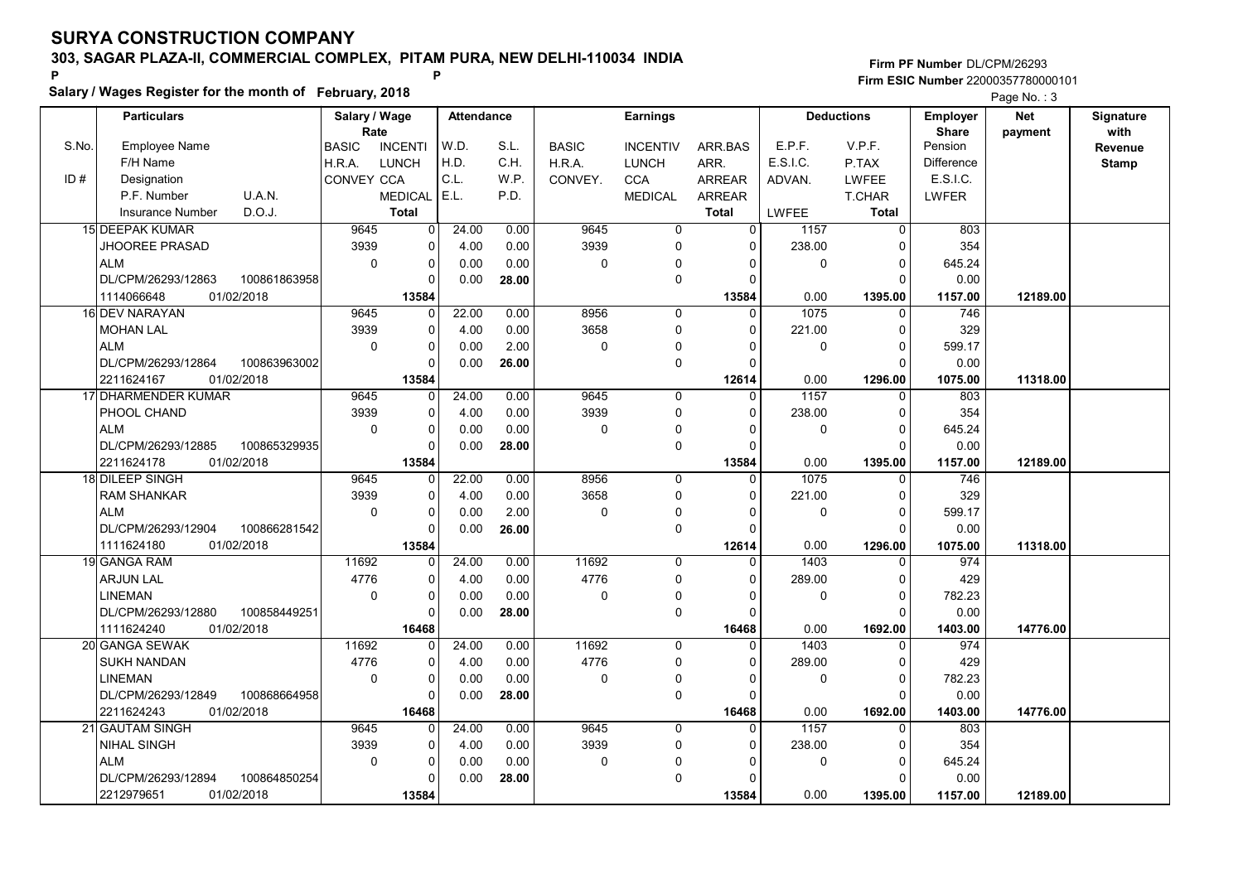Salary / Wages Register for the month of February, 2018

### Firm PF Number DL/CPM/26293 Firm ESIC Number <sup>22000357780000101</sup> P P

|       | <b>Particulars</b>       |              | Salary / Wage |                | Attendance |       |              | <b>Earnings</b> |               |              | <b>Deductions</b> | <b>Employer</b>         | <b>Net</b> | Signature    |
|-------|--------------------------|--------------|---------------|----------------|------------|-------|--------------|-----------------|---------------|--------------|-------------------|-------------------------|------------|--------------|
| S.No. | <b>Employee Name</b>     |              | Rate          | <b>INCENTI</b> | W.D.       | S.L.  |              |                 |               | E.P.F.       | V.P.F.            | <b>Share</b><br>Pension | payment    | with         |
|       |                          |              | <b>BASIC</b>  |                | H.D.       | C.H.  | <b>BASIC</b> | <b>INCENTIV</b> | ARR.BAS       | E.S.I.C.     |                   |                         |            | Revenue      |
|       | F/H Name                 |              | H.R.A.        | LUNCH          | C.L.       |       | H.R.A.       | <b>LUNCH</b>    | ARR.          |              | P.TAX             | Difference<br>E.S.I.C.  |            | <b>Stamp</b> |
| ID#   | Designation              |              | CONVEY CCA    |                |            | W.P.  | CONVEY.      | <b>CCA</b>      | <b>ARREAR</b> | ADVAN.       | <b>LWFEE</b>      |                         |            |              |
|       | P.F. Number              | U.A.N.       |               | <b>MEDICAL</b> | E.L.       | P.D.  |              | <b>MEDICAL</b>  | <b>ARREAR</b> |              | <b>T.CHAR</b>     | <b>LWFER</b>            |            |              |
|       | <b>Insurance Number</b>  | D.O.J.       |               | <b>Total</b>   |            |       |              |                 | <b>Total</b>  | <b>LWFEE</b> | <b>Total</b>      |                         |            |              |
|       | <b>15 DEEPAK KUMAR</b>   |              | 9645          | 0              | 24.00      | 0.00  | 9645         | $\mathbf 0$     | $\Omega$      | 1157         | $\mathbf 0$       | 803                     |            |              |
|       | <b>JHOOREE PRASAD</b>    |              | 3939          | 0              | 4.00       | 0.00  | 3939         | 0               | 0             | 238.00       | 0                 | 354                     |            |              |
|       | <b>ALM</b>               |              | $\mathbf 0$   | 0              | 0.00       | 0.00  | $\mathbf 0$  | $\Omega$        | $\Omega$      | 0            | $\Omega$          | 645.24                  |            |              |
|       | DL/CPM/26293/12863       | 100861863958 |               | $\Omega$       | 0.00       | 28.00 |              | 0               | $\Omega$      |              | $\Omega$          | 0.00                    |            |              |
|       | 1114066648<br>01/02/2018 |              |               | 13584          |            |       |              |                 | 13584         | 0.00         | 1395.00           | 1157.00                 | 12189.00   |              |
|       | 16 DEV NARAYAN           |              | 9645          | 0              | 22.00      | 0.00  | 8956         | 0               | $\Omega$      | 1075         | 0                 | 746                     |            |              |
|       | <b>MOHAN LAL</b>         |              | 3939          | 0              | 4.00       | 0.00  | 3658         | 0               | $\Omega$      | 221.00       | $\mathbf 0$       | 329                     |            |              |
|       | <b>ALM</b>               |              | $\mathbf 0$   | 0              | 0.00       | 2.00  | 0            | 0               | $\Omega$      | $\mathbf 0$  | $\mathbf 0$       | 599.17                  |            |              |
|       | DL/CPM/26293/12864       | 100863963002 |               | $\Omega$       | 0.00       | 26.00 |              | 0               | $\Omega$      |              | $\Omega$          | 0.00                    |            |              |
|       | 2211624167<br>01/02/2018 |              |               | 13584          |            |       |              |                 | 12614         | 0.00         | 1296.00           | 1075.00                 | 11318.00   |              |
|       | 17 DHARMENDER KUMAR      |              | 9645          | $\Omega$       | 24.00      | 0.00  | 9645         | 0               | $\Omega$      | 1157         | $\Omega$          | 803                     |            |              |
|       | PHOOL CHAND              |              | 3939          | 0              | 4.00       | 0.00  | 3939         | $\Omega$        | $\Omega$      | 238.00       | $\Omega$          | 354                     |            |              |
|       | <b>ALM</b>               |              | $\mathbf 0$   | 0              | 0.00       | 0.00  | $\Omega$     | $\mathbf{0}$    | $\Omega$      | 0            | $\mathbf 0$       | 645.24                  |            |              |
|       | DL/CPM/26293/12885       | 100865329935 |               | 0              | 0.00       | 28.00 |              | 0               | $\Omega$      |              | $\Omega$          | 0.00                    |            |              |
|       | 2211624178<br>01/02/2018 |              |               | 13584          |            |       |              |                 | 13584         | 0.00         | 1395.00           | 1157.00                 | 12189.00   |              |
|       | 18 DILEEP SINGH          |              | 9645          | 0              | 22.00      | 0.00  | 8956         | 0               | $\Omega$      | 1075         | $\mathbf 0$       | 746                     |            |              |
|       | <b>RAM SHANKAR</b>       |              | 3939          | $\Omega$       | 4.00       | 0.00  | 3658         | $\Omega$        | $\Omega$      | 221.00       | $\pmb{0}$         | 329                     |            |              |
|       | <b>ALM</b>               |              | $\Omega$      | 0              | 0.00       | 2.00  | 0            | $\Omega$        | n             | $\mathbf 0$  | $\mathbf 0$       | 599.17                  |            |              |
|       | DL/CPM/26293/12904       | 100866281542 |               | $\Omega$       | 0.00       | 26.00 |              | 0               | $\Omega$      |              | $\Omega$          | 0.00                    |            |              |
|       | 01/02/2018<br>1111624180 |              |               | 13584          |            |       |              |                 | 12614         | 0.00         | 1296.00           | 1075.00                 | 11318.00   |              |
|       | 19 GANGA RAM             |              | 11692         | $\Omega$       | 24.00      | 0.00  | 11692        | $\Omega$        | $\Omega$      | 1403         | $\Omega$          | 974                     |            |              |
|       | <b>ARJUN LAL</b>         |              | 4776          | 0              | 4.00       | 0.00  | 4776         | 0               | $\Omega$      | 289.00       | $\mathbf 0$       | 429                     |            |              |
|       | <b>LINEMAN</b>           |              | $\mathbf 0$   | 0              | 0.00       | 0.00  | $\mathbf 0$  | 0               | 0             | 0            | $\pmb{0}$         | 782.23                  |            |              |
|       | DL/CPM/26293/12880       | 100858449251 |               | $\Omega$       | 0.00       | 28.00 |              | $\pmb{0}$       | $\Omega$      |              | $\Omega$          | 0.00                    |            |              |
|       | 1111624240<br>01/02/2018 |              |               | 16468          |            |       |              |                 | 16468         | 0.00         | 1692.00           | 1403.00                 | 14776.00   |              |
|       | 20 GANGA SEWAK           |              | 11692         | $\Omega$       | 24.00      | 0.00  | 11692        | $\Omega$        | $\Omega$      | 1403         | $\Omega$          | 974                     |            |              |
|       | SUKH NANDAN              |              | 4776          | 0              | 4.00       | 0.00  | 4776         | 0               | $\Omega$      | 289.00       | 0                 | 429                     |            |              |
|       | <b>LINEMAN</b>           |              | $\Omega$      | 0              | 0.00       | 0.00  | $\Omega$     | $\Omega$        | 0             | $\Omega$     | $\mathbf 0$       | 782.23                  |            |              |
|       | DL/CPM/26293/12849       | 100868664958 |               | $\Omega$       | 0.00       | 28.00 |              | 0               | $\Omega$      |              | $\Omega$          | 0.00                    |            |              |
|       | 2211624243<br>01/02/2018 |              |               | 16468          |            |       |              |                 | 16468         | 0.00         | 1692.00           | 1403.00                 | 14776.00   |              |
|       | 21 GAUTAM SINGH          |              | 9645          | $\Omega$       | 24.00      | 0.00  | 9645         | 0               | $\Omega$      | 1157         | 0                 | 803                     |            |              |
|       | <b>NIHAL SINGH</b>       |              | 3939          | 0              | 4.00       | 0.00  | 3939         | 0               | $\Omega$      | 238.00       | $\mathbf 0$       | 354                     |            |              |
|       | <b>ALM</b>               |              | $\mathbf 0$   | 0              | 0.00       | 0.00  | $\mathbf{0}$ | $\Omega$        | O             | 0            | $\mathbf 0$       | 645.24                  |            |              |
|       | DL/CPM/26293/12894       | 100864850254 |               | $\Omega$       | 0.00       | 28.00 |              | 0               | n             |              | $\Omega$          | 0.00                    |            |              |
|       | 01/02/2018<br>2212979651 |              |               | 13584          |            |       |              |                 | 13584         | 0.00         | 1395.00           | 1157.00                 | 12189.00   |              |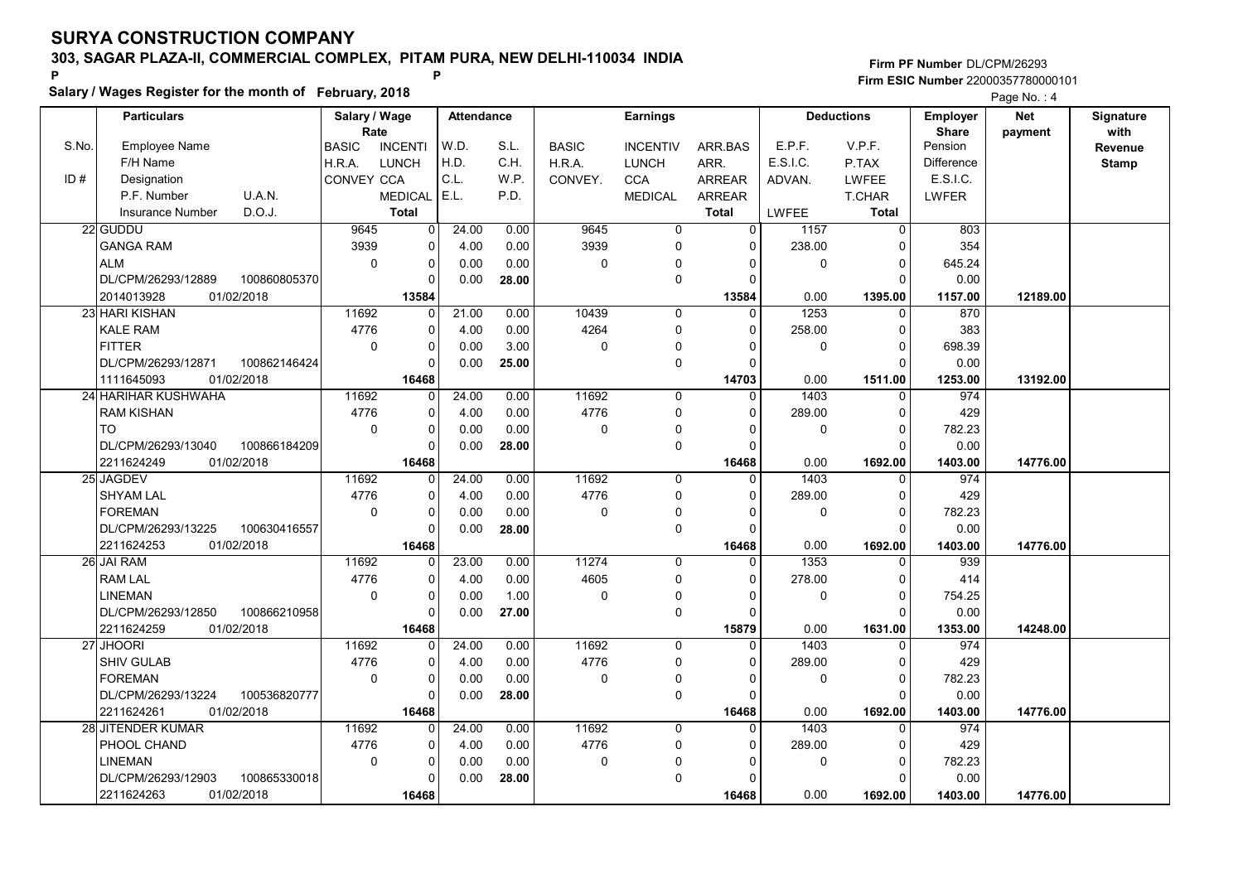Salary / Wages Register for the month of February, 2018

### Firm PF Number DL/CPM/26293 Firm ESIC Number <sup>22000357780000101</sup> P P

|       |                                    |                       |                |                   |       |              |                 |                |              |                   |                                 | . ugoo.               |                   |
|-------|------------------------------------|-----------------------|----------------|-------------------|-------|--------------|-----------------|----------------|--------------|-------------------|---------------------------------|-----------------------|-------------------|
|       | <b>Particulars</b>                 | Salary / Wage<br>Rate |                | <b>Attendance</b> |       |              | <b>Earnings</b> |                |              | <b>Deductions</b> | <b>Employer</b><br><b>Share</b> | <b>Net</b><br>payment | Signature<br>with |
| S.No. | <b>Employee Name</b>               | <b>BASIC</b>          | <b>INCENTI</b> | W.D.              | S.L.  | <b>BASIC</b> | <b>INCENTIV</b> | ARR.BAS        | E.P.F.       | V.P.F.            | Pension                         |                       | Revenue           |
|       | F/H Name                           | H.R.A.                | LUNCH          | H.D.              | C.H.  | H.R.A.       | <b>LUNCH</b>    | ARR.           | E.S.I.C.     | P.TAX             | <b>Difference</b>               |                       | <b>Stamp</b>      |
| ID#   | Designation                        | CONVEY CCA            |                | C.L.              | W.P.  | CONVEY.      | <b>CCA</b>      | <b>ARREAR</b>  | ADVAN.       | <b>LWFEE</b>      | E.S.I.C.                        |                       |                   |
|       | P.F. Number<br>U.A.N.              |                       | <b>MEDICAL</b> | E.L.              | P.D.  |              | <b>MEDICAL</b>  | <b>ARREAR</b>  |              | T.CHAR            | LWFER                           |                       |                   |
|       | <b>Insurance Number</b><br>D.O.J.  |                       | <b>Total</b>   |                   |       |              |                 | <b>Total</b>   | <b>LWFEE</b> | <b>Total</b>      |                                 |                       |                   |
|       | 22 GUDDU                           | 9645                  | $\overline{0}$ | 24.00             |       | 9645         | $\overline{0}$  | $\overline{0}$ |              | $\overline{0}$    | 803                             |                       |                   |
|       |                                    |                       |                |                   | 0.00  |              |                 |                | 1157         |                   |                                 |                       |                   |
|       | <b>GANGA RAM</b>                   | 3939                  | $\mathbf 0$    | 4.00              | 0.00  | 3939         | $\Omega$        | $\Omega$       | 238.00       | $\mathbf 0$       | 354                             |                       |                   |
|       | <b>ALM</b>                         | $\Omega$              | $\mathbf 0$    | 0.00              | 0.00  | 0            | 0               | $\Omega$       | 0            | $\mathbf 0$       | 645.24                          |                       |                   |
|       | DL/CPM/26293/12889<br>100860805370 |                       | $\mathbf 0$    | 0.00              | 28.00 |              | $\mathbf 0$     | $\Omega$       |              | $\Omega$          | 0.00                            |                       |                   |
|       | 01/02/2018<br>2014013928           |                       | 13584          |                   |       |              |                 | 13584          | 0.00         | 1395.00           | 1157.00                         | 12189.00              |                   |
|       | 23 HARI KISHAN                     | 11692                 | 0              | 21.00             | 0.00  | 10439        | $\mathbf 0$     | $\Omega$       | 1253         | $\mathbf 0$       | 870                             |                       |                   |
|       | <b>KALE RAM</b>                    | 4776                  | $\mathbf 0$    | 4.00              | 0.00  | 4264         | 0               | $\Omega$       | 258.00       | $\mathbf 0$       | 383                             |                       |                   |
|       | <b>FITTER</b>                      | $\mathbf 0$           | $\pmb{0}$      | 0.00              | 3.00  | $\mathbf 0$  | $\Omega$        | $\Omega$       | 0            | $\pmb{0}$         | 698.39                          |                       |                   |
|       | DL/CPM/26293/12871<br>100862146424 |                       | $\Omega$       | 0.00              | 25.00 |              | $\Omega$        | $\Omega$       |              | $\Omega$          | 0.00                            |                       |                   |
|       | 1111645093<br>01/02/2018           |                       | 16468          |                   |       |              |                 | 14703          | 0.00         | 1511.00           | 1253.00                         | 13192.00              |                   |
|       | 24 HARIHAR KUSHWAHA                | 11692                 | $\Omega$       | 24.00             | 0.00  | 11692        | $\Omega$        | $\Omega$       | 1403         | $\Omega$          | 974                             |                       |                   |
|       | <b>RAM KISHAN</b>                  | 4776                  | $\mathbf 0$    | 4.00              | 0.00  | 4776         | $\mathbf 0$     | $\Omega$       | 289.00       | $\mathbf 0$       | 429                             |                       |                   |
|       | <b>TO</b>                          | $\Omega$              | $\mathbf 0$    | 0.00              | 0.00  | 0            | $\Omega$        | $\Omega$       | 0            | $\mathbf 0$       | 782.23                          |                       |                   |
|       | 100866184209<br>DL/CPM/26293/13040 |                       | $\Omega$       | 0.00              | 28.00 |              | $\mathbf 0$     | $\Omega$       |              | $\Omega$          | 0.00                            |                       |                   |
|       | 01/02/2018<br>2211624249           |                       | 16468          |                   |       |              |                 | 16468          | 0.00         | 1692.00           | 1403.00                         | 14776.00              |                   |
|       | 25 JAGDEV                          | 11692                 | $\mathbf 0$    | 24.00             | 0.00  | 11692        | $\mathbf 0$     | $\Omega$       | 1403         | $\mathbf 0$       | 974                             |                       |                   |
|       | <b>SHYAM LAL</b>                   | 4776                  | $\mathbf 0$    | 4.00              | 0.00  | 4776         | $\mathbf 0$     | $\Omega$       | 289.00       | $\mathbf 0$       | 429                             |                       |                   |
|       | <b>FOREMAN</b>                     | $\mathbf 0$           | $\mathbf 0$    | 0.00              | 0.00  | 0            | $\mathbf 0$     | $\Omega$       | 0            | $\mathbf 0$       | 782.23                          |                       |                   |
|       | DL/CPM/26293/13225<br>100630416557 |                       | $\mathbf 0$    | 0.00              | 28.00 |              | $\mathbf 0$     | $\Omega$       |              | $\mathbf 0$       | 0.00                            |                       |                   |
|       | 2211624253<br>01/02/2018           |                       | 16468          |                   |       |              |                 | 16468          | 0.00         | 1692.00           | 1403.00                         | 14776.00              |                   |
|       | 26 JAI RAM                         | 11692                 | $\Omega$       | 23.00             | 0.00  | 11274        | $\Omega$        | $\Omega$       | 1353         | $\Omega$          | 939                             |                       |                   |
|       | <b>RAM LAL</b>                     | 4776                  | $\Omega$       | 4.00              | 0.00  | 4605         | $\Omega$        | $\Omega$       | 278.00       | $\Omega$          | 414                             |                       |                   |
|       | <b>LINEMAN</b>                     | $\mathbf 0$           | $\Omega$       | 0.00              | 1.00  | $\Omega$     | $\mathbf{0}$    | $\Omega$       | $\Omega$     | $\mathbf 0$       | 754.25                          |                       |                   |
|       | DL/CPM/26293/12850<br>100866210958 |                       | $\mathbf 0$    | 0.00              | 27.00 |              | $\mathbf 0$     | $\Omega$       |              | $\Omega$          | 0.00                            |                       |                   |
|       | 2211624259<br>01/02/2018           |                       | 16468          |                   |       |              |                 | 15879          | 0.00         | 1631.00           | 1353.00                         | 14248.00              |                   |
|       | 27 JHOORI                          | 11692                 | 0              | 24.00             | 0.00  | 11692        | $\Omega$        | $\Omega$       | 1403         | $\Omega$          | 974                             |                       |                   |
|       | SHIV GULAB                         | 4776                  | $\Omega$       | 4.00              | 0.00  | 4776         | $\mathbf 0$     | $\Omega$       | 289.00       | $\mathbf 0$       | 429                             |                       |                   |
|       | <b>FOREMAN</b>                     | $\mathbf 0$           | $\mathbf 0$    | 0.00              | 0.00  | 0            | 0               | $\Omega$       | 0            | $\mathbf 0$       | 782.23                          |                       |                   |
|       | DL/CPM/26293/13224<br>100536820777 |                       | $\Omega$       | 0.00              | 28.00 |              | $\Omega$        | $\Omega$       |              | $\Omega$          | 0.00                            |                       |                   |
|       | 2211624261<br>01/02/2018           |                       | 16468          |                   |       |              |                 | 16468          | 0.00         | 1692.00           | 1403.00                         | 14776.00              |                   |
|       | 28 JITENDER KUMAR                  | 11692                 | $\Omega$       | 24.00             | 0.00  | 11692        | $\Omega$        | 0              | 1403         | $\Omega$          | 974                             |                       |                   |
|       | PHOOL CHAND                        | 4776                  | 0              | 4.00              | 0.00  | 4776         | $\mathbf 0$     | $\Omega$       | 289.00       | $\mathbf 0$       | 429                             |                       |                   |
|       | <b>LINEMAN</b>                     | $\pmb{0}$             | $\pmb{0}$      | 0.00              | 0.00  | $\mathbf 0$  |                 | U              | $\mathbf 0$  | $\pmb{0}$         | 782.23                          |                       |                   |
|       | DL/CPM/26293/12903<br>100865330018 |                       | $\Omega$       | 0.00              | 28.00 |              | $\Omega$        | $\Omega$       |              | $\Omega$          | 0.00                            |                       |                   |
|       |                                    |                       |                |                   |       |              |                 |                | 0.00         |                   |                                 |                       |                   |
|       | 2211624263<br>01/02/2018           |                       | 16468          |                   |       |              |                 | 16468          |              | 1692.00           | 1403.00                         | 14776.00              |                   |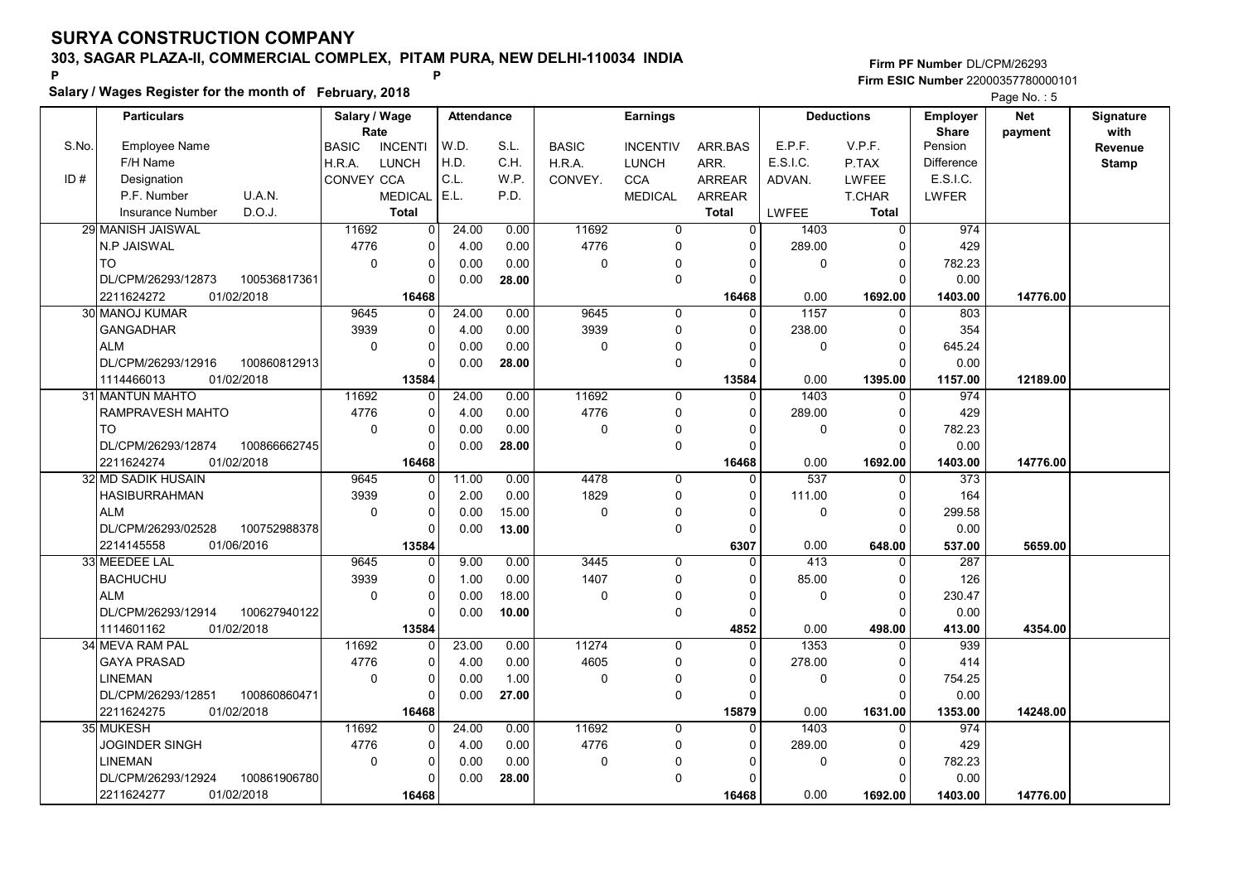Salary / Wages Register for the month of February, 2018

### Firm PF Number DL/CPM/26293 Firm ESIC Number <sup>22000357780000101</sup> P P

|       | <b>Particulars</b>      |              | Salary / Wage |                | Attendance |       |              | <b>Earnings</b> |               |              | <b>Deductions</b> | Employer          | <b>Net</b> | Signature    |
|-------|-------------------------|--------------|---------------|----------------|------------|-------|--------------|-----------------|---------------|--------------|-------------------|-------------------|------------|--------------|
|       |                         |              | Rate          |                |            |       |              |                 |               |              |                   | <b>Share</b>      | payment    | with         |
| S.No. | <b>Employee Name</b>    |              | <b>BASIC</b>  | <b>INCENTI</b> | W.D.       | S.L.  | <b>BASIC</b> | <b>INCENTIV</b> | ARR.BAS       | E.P.F.       | V.P.F.            | Pension           |            | Revenue      |
|       | F/H Name                |              | H.R.A.        | <b>LUNCH</b>   | H.D.       | C.H.  | H.R.A.       | <b>LUNCH</b>    | ARR.          | E.S.I.C.     | P.TAX             | <b>Difference</b> |            | <b>Stamp</b> |
| ID#   | Designation             |              | CONVEY CCA    |                | C.L.       | W.P.  | CONVEY.      | <b>CCA</b>      | <b>ARREAR</b> | ADVAN.       | <b>LWFEE</b>      | E.S.I.C.          |            |              |
|       | P.F. Number             | U.A.N.       |               | <b>MEDICAL</b> | E.L.       | P.D.  |              | <b>MEDICAL</b>  | <b>ARREAR</b> |              | T.CHAR            | LWFER             |            |              |
|       | <b>Insurance Number</b> | D.O.J.       |               | <b>Total</b>   |            |       |              |                 | <b>Total</b>  | <b>LWFEE</b> | <b>Total</b>      |                   |            |              |
|       | 29 MANISH JAISWAL       |              | 11692         | $\overline{0}$ | 24.00      | 0.00  | 11692        | $\mathbf 0$     | $\Omega$      | 1403         | 0                 | 974               |            |              |
|       | N.P JAISWAL             |              | 4776          | 0              | 4.00       | 0.00  | 4776         | $\mathbf{0}$    | $\mathbf{0}$  | 289.00       | $\Omega$          | 429               |            |              |
|       | <b>TO</b>               |              | $\mathbf 0$   | 0              | 0.00       | 0.00  | $\pmb{0}$    | $\Omega$        | $\Omega$      | $\mathbf 0$  | $\Omega$          | 782.23            |            |              |
|       | DL/CPM/26293/12873      | 100536817361 |               | $\Omega$       | 0.00       | 28.00 |              | 0               | $\Omega$      |              | $\Omega$          | 0.00              |            |              |
|       | 2211624272              | 01/02/2018   |               | 16468          |            |       |              |                 | 16468         | 0.00         | 1692.00           | 1403.00           | 14776.00   |              |
|       | 30 MANOJ KUMAR          |              | 9645          | $\overline{0}$ | 24.00      | 0.00  | 9645         | $\mathbf 0$     | $\Omega$      | 1157         | $\mathbf 0$       | 803               |            |              |
|       | <b>GANGADHAR</b>        |              | 3939          | $\Omega$       | 4.00       | 0.00  | 3939         | 0               | $\Omega$      | 238.00       | $\Omega$          | 354               |            |              |
|       | <b>ALM</b>              |              | $\mathbf 0$   | $\Omega$       | 0.00       | 0.00  | $\mathbf 0$  | 0               | $\Omega$      | $\mathbf{0}$ | $\Omega$          | 645.24            |            |              |
|       | DL/CPM/26293/12916      | 100860812913 |               | $\Omega$       | 0.00       | 28.00 |              | 0               | $\Omega$      |              | $\Omega$          | 0.00              |            |              |
|       | 1114466013              | 01/02/2018   |               | 13584          |            |       |              |                 | 13584         | 0.00         | 1395.00           | 1157.00           | 12189.00   |              |
|       | 31 MANTUN MAHTO         |              | 11692         | $\Omega$       | 24.00      | 0.00  | 11692        | 0               | $\Omega$      | 1403         | $\Omega$          | 974               |            |              |
|       | RAMPRAVESH MAHTO        |              | 4776          | 0              | 4.00       | 0.00  | 4776         | 0               | $\Omega$      | 289.00       | $\Omega$          | 429               |            |              |
|       | <b>TO</b>               |              | $\Omega$      | 0              | 0.00       | 0.00  | $\Omega$     | $\mathbf{0}$    | $\Omega$      | $\Omega$     | $\Omega$          | 782.23            |            |              |
|       | DL/CPM/26293/12874      | 100866662745 |               | 0              | 0.00       | 28.00 |              | 0               | $\Omega$      |              | $\Omega$          | 0.00              |            |              |
|       | 2211624274              | 01/02/2018   |               | 16468          |            |       |              |                 | 16468         | 0.00         | 1692.00           | 1403.00           | 14776.00   |              |
|       | 32 MD SADIK HUSAIN      |              | 9645          | $\Omega$       | 11.00      | 0.00  | 4478         | 0               | $\Omega$      | 537          | $\Omega$          | 373               |            |              |
|       | <b>HASIBURRAHMAN</b>    |              | 3939          | $\Omega$       | 2.00       | 0.00  | 1829         | 0               | $\Omega$      | 111.00       | $\Omega$          | 164               |            |              |
|       | ALM                     |              | $\Omega$      | $\Omega$       | 0.00       | 15.00 | $\Omega$     | 0               | n             | $\Omega$     | $\Omega$          | 299.58            |            |              |
|       | DL/CPM/26293/02528      | 100752988378 |               | $\Omega$       | 0.00       | 13.00 |              | 0               | $\Omega$      |              | $\Omega$          | 0.00              |            |              |
|       | 2214145558              | 01/06/2016   |               | 13584          |            |       |              |                 | 6307          | 0.00         | 648.00            | 537.00            | 5659.00    |              |
|       | 33 MEEDEE LAL           |              | 9645          | 0              | 9.00       | 0.00  | 3445         | $\Omega$        |               | 413          | $\Omega$          | 287               |            |              |
|       | <b>BACHUCHU</b>         |              | 3939          | $\Omega$       | 1.00       | 0.00  | 1407         | $\Omega$        |               | 85.00        | $\Omega$          | 126               |            |              |
|       | <b>ALM</b>              |              | $\mathbf 0$   | 0              | 0.00       | 18.00 | $\mathbf 0$  | 0               | $\Omega$      | $\mathbf 0$  | $\mathbf 0$       | 230.47            |            |              |
|       | DL/CPM/26293/12914      | 100627940122 |               | $\Omega$       | 0.00       | 10.00 |              | 0               | $\Omega$      |              | $\Omega$          | 0.00              |            |              |
|       | 1114601162              | 01/02/2018   |               | 13584          |            |       |              |                 | 4852          | 0.00         | 498.00            | 413.00            | 4354.00    |              |
|       | 34 MEVA RAM PAL         |              | 11692         | 0              | 23.00      | 0.00  | 11274        | 0               | $\Omega$      | 1353         | $\Omega$          | 939               |            |              |
|       | <b>GAYA PRASAD</b>      |              | 4776          | $\Omega$       | 4.00       | 0.00  | 4605         | 0               | $\Omega$      | 278.00       | $\Omega$          | 414               |            |              |
|       | <b>LINEMAN</b>          |              | $\mathbf 0$   | 0              | 0.00       | 1.00  | $\mathbf 0$  | $\mathbf{0}$    | $\Omega$      | $\mathbf 0$  | $\Omega$          | 754.25            |            |              |
|       | DL/CPM/26293/12851      | 100860860471 |               | 0              | 0.00       | 27.00 |              | 0               | $\cap$        |              | $\Omega$          | 0.00              |            |              |
|       | 2211624275              | 01/02/2018   |               | 16468          |            |       |              |                 | 15879         | 0.00         | 1631.00           | 1353.00           | 14248.00   |              |
|       | 35 MUKESH               |              | 11692         | 0              | 24.00      | 0.00  | 11692        | 0               | $\Omega$      | 1403         | $\Omega$          | 974               |            |              |
|       | <b>JOGINDER SINGH</b>   |              | 4776          | 0              | 4.00       | 0.00  | 4776         | 0               | 0             | 289.00       | $\mathbf 0$       | 429               |            |              |
|       | <b>LINEMAN</b>          |              | $\mathbf 0$   | 0              | 0.00       | 0.00  | $\mathbf 0$  | $\mathbf{0}$    | $\Omega$      | $\mathbf 0$  | $\Omega$          | 782.23            |            |              |
|       | DL/CPM/26293/12924      | 100861906780 |               | 0              | 0.00       | 28.00 |              | $\mathbf{0}$    |               |              | $\Omega$          | 0.00              |            |              |
|       | 2211624277              | 01/02/2018   |               | 16468          |            |       |              |                 | 16468         | 0.00         | 1692.00           | 1403.00           | 14776.00   |              |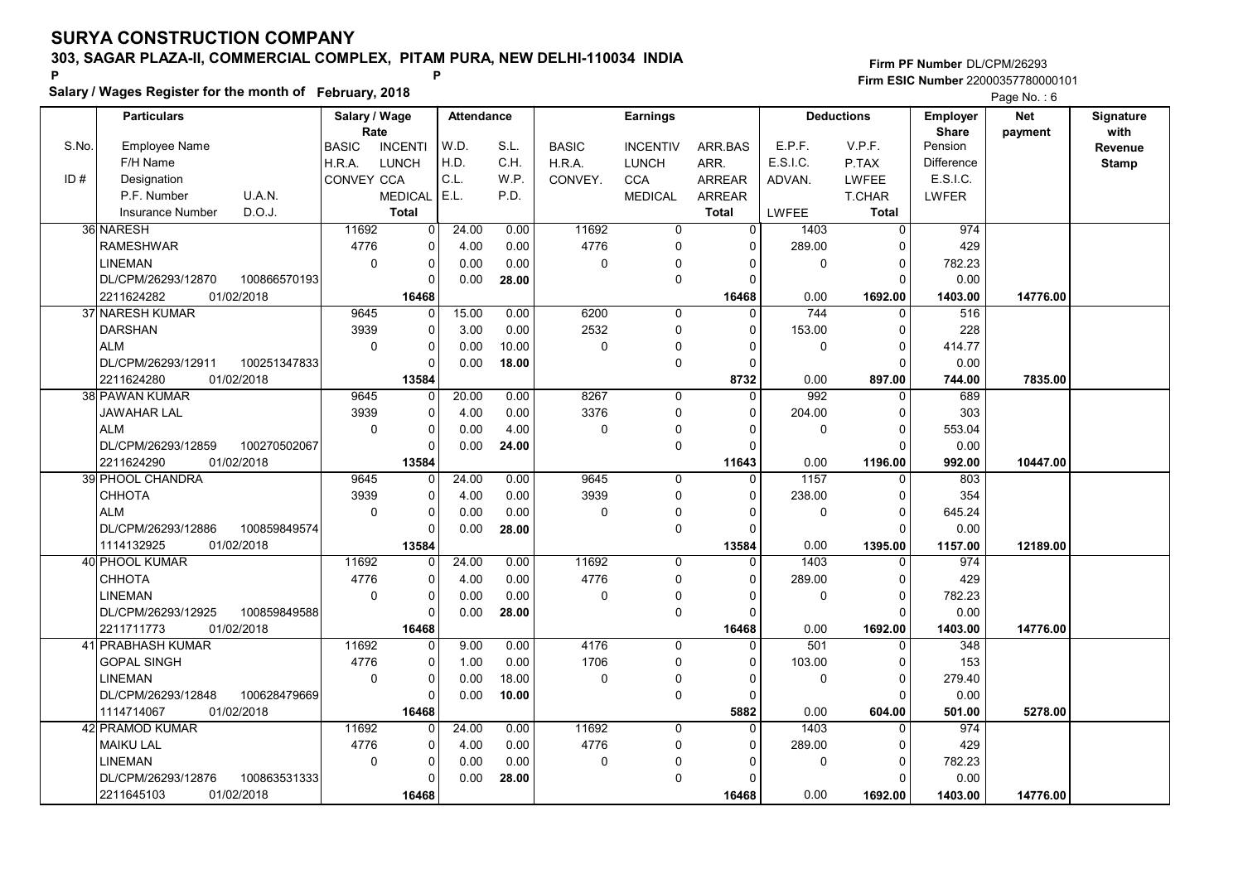Salary / Wages Register for the month of February, 2018

### Firm PF Number DL/CPM/26293 Firm ESIC Number <sup>22000357780000101</sup> P P

|       | <b>Particulars</b>      |              | Salary / Wage     |                | Attendance |       |              | Earnings        |               |              | <b>Deductions</b> | Employer     | <b>Net</b> | Signature    |
|-------|-------------------------|--------------|-------------------|----------------|------------|-------|--------------|-----------------|---------------|--------------|-------------------|--------------|------------|--------------|
|       |                         |              | Rate              |                |            |       |              |                 |               | E.P.F.       |                   | <b>Share</b> | payment    | with         |
| S.No. | Employee Name           |              | <b>BASIC</b>      | <b>INCENTI</b> | W.D.       | S.L.  | <b>BASIC</b> | <b>INCENTIV</b> | ARR.BAS       |              | V.P.F.            | Pension      |            | Revenue      |
|       | F/H Name                |              | H.R.A.            | <b>LUNCH</b>   | H.D.       | C.H.  | H.R.A.       | <b>LUNCH</b>    | ARR.          | E.S.I.C.     | P.TAX             | Difference   |            | <b>Stamp</b> |
| ID#   | Designation             |              | <b>CONVEY CCA</b> |                | C.L.       | W.P.  | CONVEY.      | <b>CCA</b>      | ARREAR        | ADVAN.       | LWFEE             | E.S.I.C.     |            |              |
|       | P.F. Number             | U.A.N.       |                   | <b>MEDICAL</b> | E.L.       | P.D.  |              | <b>MEDICAL</b>  | <b>ARREAR</b> |              | T.CHAR            | <b>LWFER</b> |            |              |
|       | <b>Insurance Number</b> | D.O.J.       |                   | <b>Total</b>   |            |       |              |                 | <b>Total</b>  | <b>LWFEE</b> | <b>Total</b>      |              |            |              |
|       | 36 NARESH               |              | 11692             | $\overline{0}$ | 24.00      | 0.00  | 11692        | 0               | 0             | 1403         | 0                 | 974          |            |              |
|       | <b>RAMESHWAR</b>        |              | 4776              | 0              | 4.00       | 0.00  | 4776         | $\mathbf{0}$    | $\Omega$      | 289.00       | $\mathbf{0}$      | 429          |            |              |
|       | <b>LINEMAN</b>          |              | $\mathbf 0$       | 0              | 0.00       | 0.00  | $\mathbf 0$  | $\Omega$        | $\Omega$      | $\mathbf 0$  | $\Omega$          | 782.23       |            |              |
|       | DL/CPM/26293/12870      | 100866570193 |                   | 0              | 0.00       | 28.00 |              | 0               | $\Omega$      |              | $\Omega$          | 0.00         |            |              |
|       | 2211624282              | 01/02/2018   |                   | 16468          |            |       |              |                 | 16468         | 0.00         | 1692.00           | 1403.00      | 14776.00   |              |
|       | 37 NARESH KUMAR         |              | 9645              | $\Omega$       | 15.00      | 0.00  | 6200         | $\mathbf 0$     | $\Omega$      | 744          | 0                 | 516          |            |              |
|       | <b>DARSHAN</b>          |              | 3939              | 0              | 3.00       | 0.00  | 2532         | 0               | $\Omega$      | 153.00       | $\Omega$          | 228          |            |              |
|       | <b>ALM</b>              |              | $\mathbf 0$       | 0              | 0.00       | 10.00 | $\mathbf 0$  | 0               | $\Omega$      | $\mathbf 0$  | $\Omega$          | 414.77       |            |              |
|       | DL/CPM/26293/12911      | 100251347833 |                   | 0              | 0.00       | 18.00 |              | 0               | $\Omega$      |              | $\Omega$          | 0.00         |            |              |
|       | 2211624280              | 01/02/2018   |                   | 13584          |            |       |              |                 | 8732          | 0.00         | 897.00            | 744.00       | 7835.00    |              |
|       | 38 PAWAN KUMAR          |              | 9645              | $\Omega$       | 20.00      | 0.00  | 8267         | $\mathbf 0$     | $\Omega$      | 992          | $\Omega$          | 689          |            |              |
|       | JAWAHAR LAL             |              | 3939              | $\Omega$       | 4.00       | 0.00  | 3376         | 0               | $\Omega$      | 204.00       | $\Omega$          | 303          |            |              |
|       | ALM                     |              | $\mathbf 0$       | 0              | 0.00       | 4.00  | $\mathbf 0$  | $\Omega$        | $\Omega$      | $\mathbf 0$  | $\Omega$          | 553.04       |            |              |
|       | DL/CPM/26293/12859      | 100270502067 |                   | $\Omega$       | 0.00       | 24.00 |              | 0               | $\Omega$      |              | $\Omega$          | 0.00         |            |              |
|       | 2211624290              | 01/02/2018   |                   | 13584          |            |       |              |                 | 11643         | 0.00         | 1196.00           | 992.00       | 10447.00   |              |
|       | 39 PHOOL CHANDRA        |              | 9645              | $\overline{0}$ | 24.00      | 0.00  | 9645         | 0               | $\Omega$      | 1157         | $\Omega$          | 803          |            |              |
|       | <b>CHHOTA</b>           |              | 3939              | $\Omega$       | 4.00       | 0.00  | 3939         | $\Omega$        | $\Omega$      | 238.00       | $\Omega$          | 354          |            |              |
|       | <b>ALM</b>              |              | $\Omega$          | 0              | 0.00       | 0.00  | $\mathbf 0$  | 0               | $\Omega$      | $\mathbf 0$  | $\Omega$          | 645.24       |            |              |
|       | DL/CPM/26293/12886      | 100859849574 |                   | 0              | 0.00       | 28.00 |              | 0               | $\Omega$      |              | $\Omega$          | 0.00         |            |              |
|       | 1114132925              | 01/02/2018   |                   | 13584          |            |       |              |                 | 13584         | 0.00         | 1395.00           | 1157.00      | 12189.00   |              |
|       | 40 PHOOL KUMAR          |              | 11692             | 0              | 24.00      | 0.00  | 11692        | $\Omega$        | $\Omega$      | 1403         | $\Omega$          | 974          |            |              |
|       | <b>CHHOTA</b>           |              | 4776              | 0              | 4.00       | 0.00  | 4776         | 0               | $\Omega$      | 289.00       | $\Omega$          | 429          |            |              |
|       | <b>LINEMAN</b>          |              | $\mathbf 0$       | 0              | 0.00       | 0.00  | 0            | $\Omega$        | 0             | $\mathbf 0$  | $\mathbf 0$       | 782.23       |            |              |
|       | DL/CPM/26293/12925      | 100859849588 |                   | $\Omega$       | 0.00       | 28.00 |              | 0               | $\cap$        |              | $\Omega$          | 0.00         |            |              |
|       | 2211711773              | 01/02/2018   |                   | 16468          |            |       |              |                 | 16468         | 0.00         | 1692.00           | 1403.00      | 14776.00   |              |
|       | 41 PRABHASH KUMAR       |              | 11692             | 0              | 9.00       | 0.00  | 4176         | 0               | $\Omega$      | 501          | $\Omega$          | 348          |            |              |
|       | <b>GOPAL SINGH</b>      |              | 4776              | 0              | 1.00       | 0.00  | 1706         | 0               | $\Omega$      | 103.00       | $\mathbf 0$       | 153          |            |              |
|       | <b>LINEMAN</b>          |              | $\mathbf 0$       | 0              | 0.00       | 18.00 | $\mathbf 0$  | $\Omega$        | $\Omega$      | $\Omega$     | $\Omega$          | 279.40       |            |              |
|       | DL/CPM/26293/12848      | 100628479669 |                   | O              | 0.00       | 10.00 |              | 0               | $\Omega$      |              | $\Omega$          | 0.00         |            |              |
|       | 1114714067              | 01/02/2018   |                   | 16468          |            |       |              |                 | 5882          | 0.00         | 604.00            | 501.00       | 5278.00    |              |
|       | 42 PRAMOD KUMAR         |              | 11692             | O              | 24.00      | 0.00  | 11692        | 0               | $\Omega$      | 1403         | $\Omega$          | 974          |            |              |
|       | <b>MAIKU LAL</b>        |              | 4776              | 0              | 4.00       | 0.00  | 4776         | 0               | $\mathbf 0$   | 289.00       | $\Omega$          | 429          |            |              |
|       | <b>LINEMAN</b>          |              | $\mathbf 0$       | 0              | 0.00       | 0.00  | 0            | $\mathbf{0}$    | n             | $\mathbf 0$  | $\Omega$          | 782.23       |            |              |
|       | DL/CPM/26293/12876      | 100863531333 |                   | 0              | 0.00       | 28.00 |              | $\mathbf{0}$    | 0             |              | $\Omega$          | 0.00         |            |              |
|       | 2211645103              | 01/02/2018   |                   | 16468          |            |       |              |                 | 16468         | 0.00         | 1692.00           | 1403.00      | 14776.00   |              |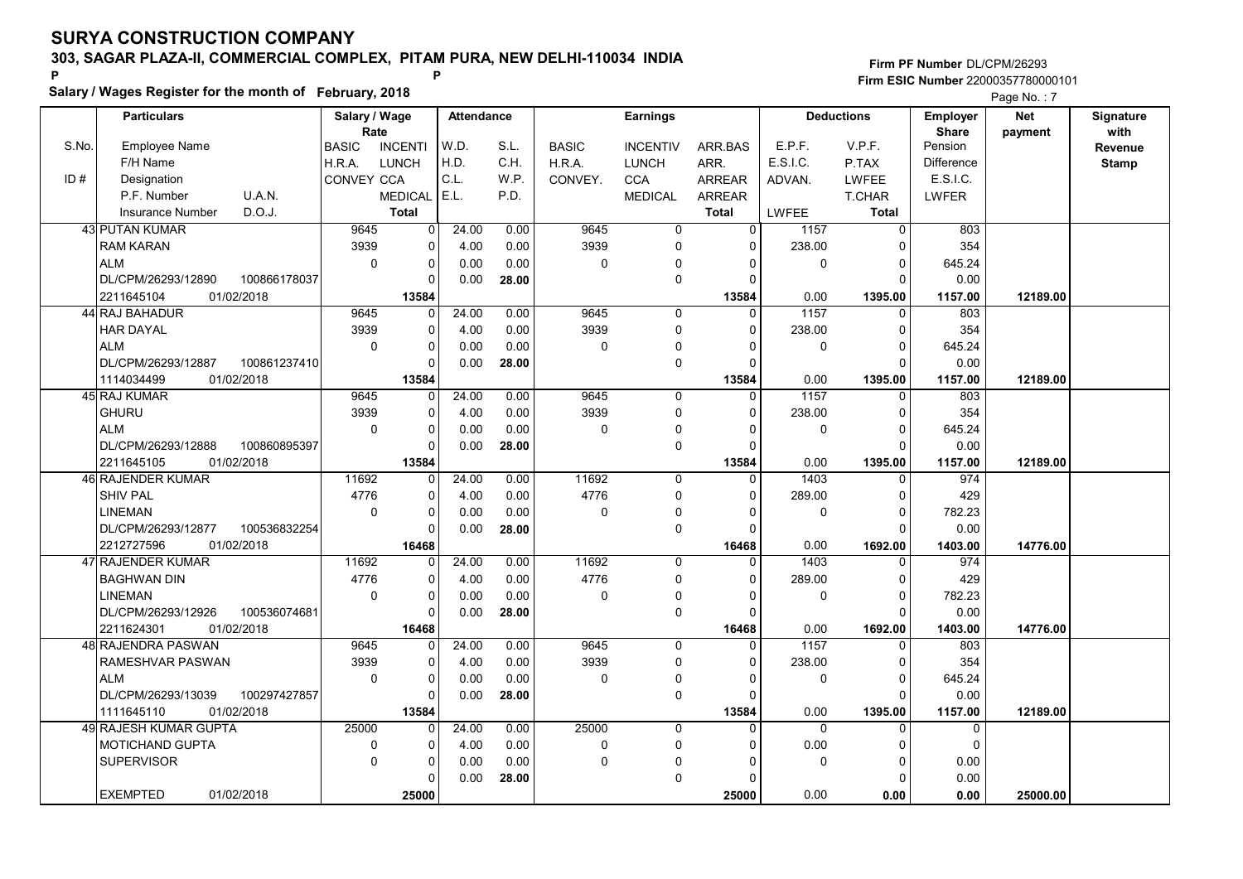Salary / Wages Register for the month of February, 2018

### Firm PF Number DL/CPM/26293 Firm ESIC Number <sup>22000357780000101</sup> P P

|       | <b>Particulars</b>            |              | Salary / Wage        |                | <b>Attendance</b> |       |              | <b>Earnings</b> |               |              | <b>Deductions</b> | <b>Employer</b>         | <b>Net</b> | Signature       |
|-------|-------------------------------|--------------|----------------------|----------------|-------------------|-------|--------------|-----------------|---------------|--------------|-------------------|-------------------------|------------|-----------------|
| S.No. | <b>Employee Name</b>          |              | Rate<br><b>BASIC</b> | <b>INCENTI</b> | W.D.              | S.L.  | <b>BASIC</b> | <b>INCENTIV</b> | ARR.BAS       | E.P.F.       | V.P.F.            | <b>Share</b><br>Pension | payment    | with<br>Revenue |
|       | F/H Name                      |              | H.R.A.               | <b>LUNCH</b>   | H.D.              | C.H.  | H.R.A.       | <b>LUNCH</b>    | ARR.          | E.S.I.C.     | P.TAX             | Difference              |            | <b>Stamp</b>    |
| ID#   | Designation                   |              | CONVEY CCA           |                | C.L.              | W.P.  | CONVEY.      | <b>CCA</b>      | <b>ARREAR</b> | ADVAN.       | <b>LWFEE</b>      | E.S.I.C.                |            |                 |
|       | P.F. Number                   | U.A.N.       |                      | <b>MEDICAL</b> | E.L.              | P.D.  |              | <b>MEDICAL</b>  | <b>ARREAR</b> |              | <b>T.CHAR</b>     | LWFER                   |            |                 |
|       | <b>Insurance Number</b>       | D.O.J.       |                      | <b>Total</b>   |                   |       |              |                 | <b>Total</b>  | LWFEE        | <b>Total</b>      |                         |            |                 |
|       | <b>43 PUTAN KUMAR</b>         |              | 9645                 | 0              | 24.00             | 0.00  | 9645         | $\mathbf 0$     | $\Omega$      | 1157         | $\mathbf 0$       | 803                     |            |                 |
|       | <b>RAM KARAN</b>              |              | 3939                 | 0              | 4.00              | 0.00  | 3939         | $\Omega$        | $\Omega$      | 238.00       | $\mathbf 0$       | 354                     |            |                 |
|       | <b>ALM</b>                    |              | $\mathbf 0$          | 0              | 0.00              | 0.00  | 0            | 0               | $\Omega$      | 0            | $\mathbf 0$       | 645.24                  |            |                 |
|       | DL/CPM/26293/12890            | 100866178037 |                      | $\Omega$       | 0.00              | 28.00 |              | 0               | $\Omega$      |              | $\Omega$          | 0.00                    |            |                 |
|       | 01/02/2018<br>2211645104      |              |                      | 13584          |                   |       |              |                 | 13584         | 0.00         | 1395.00           | 1157.00                 | 12189.00   |                 |
|       | 44 RAJ BAHADUR                |              | 9645                 | 0              | 24.00             | 0.00  | 9645         | $\mathbf 0$     | 0             | 1157         | 0                 | 803                     |            |                 |
|       | <b>HAR DAYAL</b>              |              | 3939                 | 0              | 4.00              | 0.00  | 3939         | 0               | $\Omega$      | 238.00       | $\mathbf 0$       | 354                     |            |                 |
|       | <b>ALM</b>                    |              | $\Omega$             | 0              | 0.00              | 0.00  | $\Omega$     | 0               | O             | 0            | $\mathbf 0$       | 645.24                  |            |                 |
|       | DL/CPM/26293/12887            | 100861237410 |                      | $\Omega$       | 0.00              | 28.00 |              | 0               | n             |              | $\Omega$          | 0.00                    |            |                 |
|       | 1114034499<br>01/02/2018      |              |                      | 13584          |                   |       |              |                 | 13584         | 0.00         | 1395.00           | 1157.00                 | 12189.00   |                 |
|       | 45 RAJ KUMAR                  |              | 9645                 | 0              | 24.00             | 0.00  | 9645         | 0               | $\Omega$      | 1157         | $\Omega$          | 803                     |            |                 |
|       | <b>GHURU</b>                  |              | 3939                 | $\Omega$       | 4.00              | 0.00  | 3939         | $\Omega$        | $\Omega$      | 238.00       | $\Omega$          | 354                     |            |                 |
|       | <b>ALM</b>                    |              | $\Omega$             | 0              | 0.00              | 0.00  | $\Omega$     | $\Omega$        | $\Omega$      | $\Omega$     | $\Omega$          | 645.24                  |            |                 |
|       | DL/CPM/26293/12888            | 100860895397 |                      | 0              | 0.00              | 28.00 |              | 0               | $\Omega$      |              | $\Omega$          | 0.00                    |            |                 |
|       | 2211645105<br>01/02/2018      |              |                      | 13584          |                   |       |              |                 | 13584         | 0.00         | 1395.00           | 1157.00                 | 12189.00   |                 |
|       | 46 RAJENDER KUMAR             |              | 11692                | 0              | 24.00             | 0.00  | 11692        | $\Omega$        | $\Omega$      | 1403         | $\Omega$          | 974                     |            |                 |
|       | <b>SHIV PAL</b>               |              | 4776                 | $\overline{0}$ | 4.00              | 0.00  | 4776         | 0               | $\Omega$      | 289.00       | $\mathbf 0$       | 429                     |            |                 |
|       | <b>LINEMAN</b>                |              | $\Omega$             | $\Omega$       | 0.00              | 0.00  | 0            | 0               | n             | $\mathbf 0$  | $\mathbf 0$       | 782.23                  |            |                 |
|       | DL/CPM/26293/12877            | 100536832254 |                      | $\Omega$       | 0.00              | 28.00 |              | 0               | $\Omega$      |              | $\Omega$          | 0.00                    |            |                 |
|       | 2212727596<br>01/02/2018      |              |                      | 16468          |                   |       |              |                 | 16468         | 0.00         | 1692.00           | 1403.00                 | 14776.00   |                 |
|       | 47 RAJENDER KUMAR             |              | 11692                | $\Omega$       | 24.00             | 0.00  | 11692        | $\Omega$        | $\Omega$      | 1403         | $\Omega$          | 974                     |            |                 |
|       | <b>BAGHWAN DIN</b>            |              | 4776                 | 0              | 4.00              | 0.00  | 4776         | 0               | $\Omega$      | 289.00       | $\Omega$          | 429                     |            |                 |
|       | <b>LINEMAN</b>                |              | $\mathbf 0$          | 0              | 0.00              | 0.00  | $\mathbf 0$  | 0               | 0             | 0            | $\pmb{0}$         | 782.23                  |            |                 |
|       | DL/CPM/26293/12926            | 100536074681 |                      | $\Omega$       | 0.00              | 28.00 |              | 0               | $\Omega$      |              | $\Omega$          | 0.00                    |            |                 |
|       | 01/02/2018<br>2211624301      |              |                      | 16468          |                   |       |              |                 | 16468         | 0.00         | 1692.00           | 1403.00                 | 14776.00   |                 |
|       | 48 RAJENDRA PASWAN            |              | 9645                 | 0              | 24.00             | 0.00  | 9645         | 0               | U             | 1157         | 0                 | 803                     |            |                 |
|       | RAMESHVAR PASWAN              |              | 3939                 | 0              | 4.00              | 0.00  | 3939         | 0               | $\Omega$      | 238.00       | $\mathbf 0$       | 354                     |            |                 |
|       | <b>ALM</b>                    |              | $\mathbf 0$          | $\overline{0}$ | 0.00              | 0.00  | 0            | $\mathbf 0$     | 0             | $\mathbf 0$  | $\pmb{0}$         | 645.24                  |            |                 |
|       | DL/CPM/26293/13039            | 100297427857 |                      | <sup>0</sup>   | 0.00              | 28.00 |              | 0               | ∩             |              | $\Omega$          | 0.00                    |            |                 |
|       | 1111645110<br>01/02/2018      |              |                      | 13584          |                   |       |              |                 | 13584         | 0.00         | 1395.00           | 1157.00                 | 12189.00   |                 |
|       | 49 RAJESH KUMAR GUPTA         |              | 25000                | 0              | 24.00             | 0.00  | 25000        | $\mathbf 0$     | $\Omega$      | $\mathbf{0}$ | $\Omega$          | 0                       |            |                 |
|       | MOTICHAND GUPTA               |              | 0                    | 0              | 4.00              | 0.00  | $\mathbf 0$  | 0               | O             | 0.00         | 0                 | $\mathbf 0$             |            |                 |
|       | <b>SUPERVISOR</b>             |              | $\mathbf 0$          | 0              | 0.00              | 0.00  | 0            | $\Omega$        |               | 0            | $\mathbf 0$       | 0.00                    |            |                 |
|       |                               |              |                      | $\Omega$       | 0.00              | 28.00 |              | 0               | n             |              | $\Omega$          | 0.00                    |            |                 |
|       | <b>EXEMPTED</b><br>01/02/2018 |              |                      | 25000          |                   |       |              |                 | 25000         | 0.00         | 0.00              | 0.00                    | 25000.00   |                 |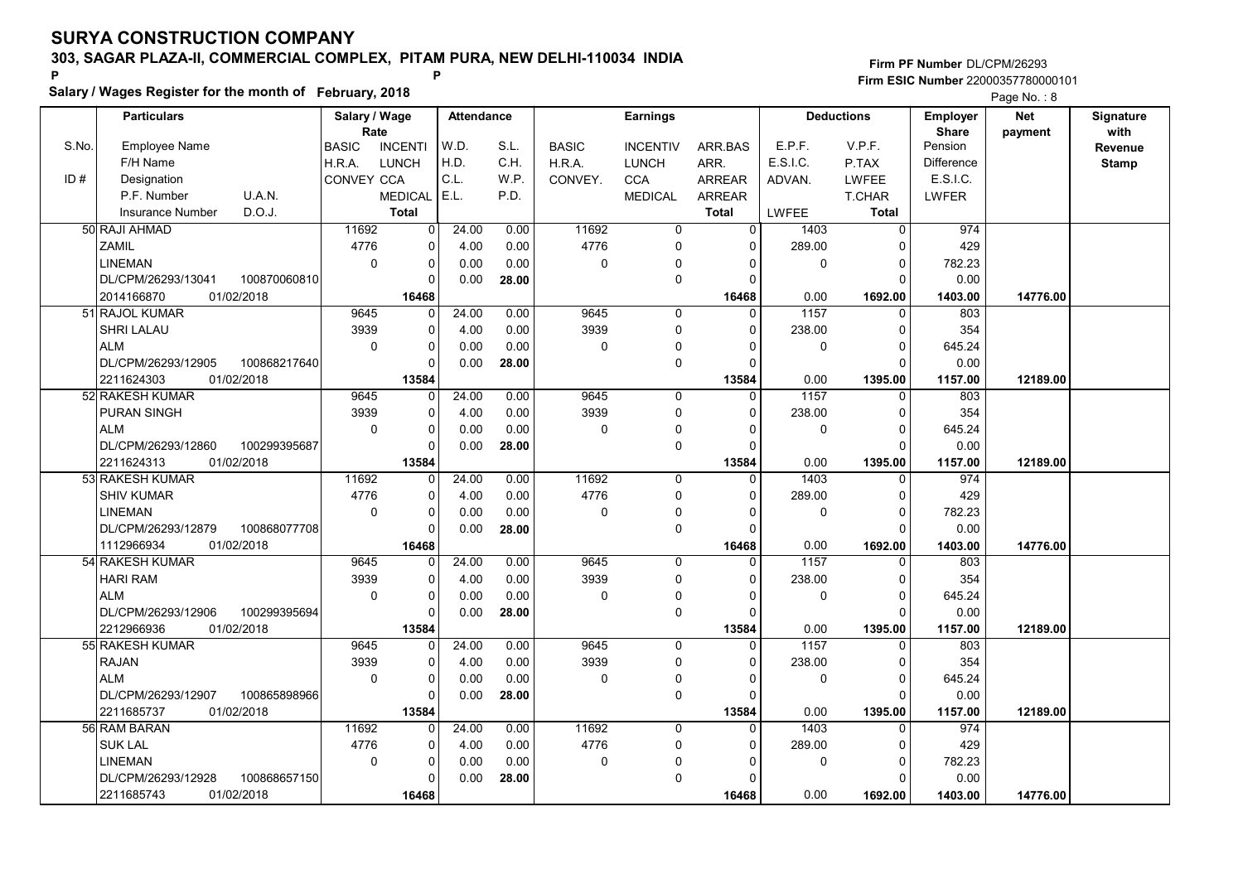Salary / Wages Register for the month of February, 2018

### Firm PF Number DL/CPM/26293 Firm ESIC Number <sup>22000357780000101</sup> P P

|       | <b>Particulars</b> |              | Salary / Wage     |                | Attendance |       |              | <b>Earnings</b> |               |              | <b>Deductions</b> | Employer     | <b>Net</b> | Signature    |
|-------|--------------------|--------------|-------------------|----------------|------------|-------|--------------|-----------------|---------------|--------------|-------------------|--------------|------------|--------------|
| S.No. |                    |              | Rate              |                |            |       |              |                 |               | E.P.F.       |                   | <b>Share</b> | payment    | with         |
|       | Employee Name      |              | <b>BASIC</b>      | <b>INCENTI</b> | W.D.       | S.L.  | <b>BASIC</b> | <b>INCENTIV</b> | ARR.BAS       |              | V.P.F.            | Pension      |            | Revenue      |
|       | F/H Name           |              | H.R.A.            | LUNCH          | H.D.       | C.H.  | H.R.A.       | <b>LUNCH</b>    | ARR.          | E.S.I.C.     | P.TAX             | Difference   |            | <b>Stamp</b> |
| ID#   | Designation        |              | <b>CONVEY CCA</b> |                | C.L.       | W.P.  | CONVEY.      | <b>CCA</b>      | ARREAR        | ADVAN.       | LWFEE             | E.S.I.C.     |            |              |
|       | P.F. Number        | U.A.N.       |                   | <b>MEDICAL</b> | E.L.       | P.D.  |              | <b>MEDICAL</b>  | <b>ARREAR</b> |              | T.CHAR            | <b>LWFER</b> |            |              |
|       | Insurance Number   | D.O.J.       |                   | <b>Total</b>   |            |       |              |                 | <b>Total</b>  | <b>LWFEE</b> | <b>Total</b>      |              |            |              |
|       | 50 RAJI AHMAD      |              | 11692             | $\overline{0}$ | 24.00      | 0.00  | 11692        | 0               | 0             | 1403         | 0                 | 974          |            |              |
|       | ZAMIL              |              | 4776              | 0              | 4.00       | 0.00  | 4776         | $\mathbf{0}$    | 0             | 289.00       | $\Omega$          | 429          |            |              |
|       | <b>LINEMAN</b>     |              | $\mathbf 0$       | 0              | 0.00       | 0.00  | $\mathbf 0$  | $\Omega$        | $\Omega$      | $\mathbf 0$  | $\Omega$          | 782.23       |            |              |
|       | DL/CPM/26293/13041 | 100870060810 |                   | 0              | 0.00       | 28.00 |              | 0               | $\Omega$      |              | $\Omega$          | 0.00         |            |              |
|       | 2014166870         | 01/02/2018   |                   | 16468          |            |       |              |                 | 16468         | 0.00         | 1692.00           | 1403.00      | 14776.00   |              |
|       | 51 RAJOL KUMAR     |              | 9645              | $\Omega$       | 24.00      | 0.00  | 9645         | $\mathbf 0$     | $\Omega$      | 1157         | 0                 | 803          |            |              |
|       | SHRI LALAU         |              | 3939              | 0              | 4.00       | 0.00  | 3939         | 0               | $\Omega$      | 238.00       | $\Omega$          | 354          |            |              |
|       | <b>ALM</b>         |              | $\mathbf 0$       | 0              | 0.00       | 0.00  | $\mathbf 0$  | $\mathbf{0}$    | $\Omega$      | $\mathbf 0$  | $\Omega$          | 645.24       |            |              |
|       | DL/CPM/26293/12905 | 100868217640 |                   | 0              | 0.00       | 28.00 |              | 0               | $\Omega$      |              | $\Omega$          | 0.00         |            |              |
|       | 2211624303         | 01/02/2018   |                   | 13584          |            |       |              |                 | 13584         | 0.00         | 1395.00           | 1157.00      | 12189.00   |              |
|       | 52 RAKESH KUMAR    |              | 9645              | $\Omega$       | 24.00      | 0.00  | 9645         | 0               | $\Omega$      | 1157         | $\Omega$          | 803          |            |              |
|       | PURAN SINGH        |              | 3939              | $\Omega$       | 4.00       | 0.00  | 3939         | 0               | $\Omega$      | 238.00       | $\Omega$          | 354          |            |              |
|       | ALM                |              | $\mathbf 0$       | 0              | 0.00       | 0.00  | $\mathbf 0$  | $\Omega$        | $\Omega$      | $\mathbf 0$  | $\Omega$          | 645.24       |            |              |
|       | DL/CPM/26293/12860 | 100299395687 |                   | $\Omega$       | 0.00       | 28.00 |              | 0               | $\Omega$      |              | $\Omega$          | 0.00         |            |              |
|       | 2211624313         | 01/02/2018   |                   | 13584          |            |       |              |                 | 13584         | 0.00         | 1395.00           | 1157.00      | 12189.00   |              |
|       | 53 RAKESH KUMAR    |              | 11692             | 0              | 24.00      | 0.00  | 11692        | 0               | $\Omega$      | 1403         | $\Omega$          | 974          |            |              |
|       | <b>SHIV KUMAR</b>  |              | 4776              | $\Omega$       | 4.00       | 0.00  | 4776         | $\Omega$        | $\Omega$      | 289.00       | $\Omega$          | 429          |            |              |
|       | <b>LINEMAN</b>     |              | $\Omega$          | 0              | 0.00       | 0.00  | $\mathbf 0$  | 0               | $\Omega$      | $\mathbf 0$  | $\mathbf 0$       | 782.23       |            |              |
|       | DL/CPM/26293/12879 | 100868077708 |                   | 0              | 0.00       | 28.00 |              | 0               | n             |              | $\Omega$          | 0.00         |            |              |
|       | 1112966934         | 01/02/2018   |                   | 16468          |            |       |              |                 | 16468         | 0.00         | 1692.00           | 1403.00      | 14776.00   |              |
|       | 54 RAKESH KUMAR    |              | 9645              | 0              | 24.00      | 0.00  | 9645         | $\Omega$        | $\Omega$      | 1157         | $\Omega$          | 803          |            |              |
|       | <b>HARI RAM</b>    |              | 3939              | $\Omega$       | 4.00       | 0.00  | 3939         | 0               | $\Omega$      | 238.00       | $\Omega$          | 354          |            |              |
|       | ALM                |              | $\mathbf 0$       | 0              | 0.00       | 0.00  | $\mathbf 0$  | $\Omega$        | 0             | $\mathbf 0$  | $\mathbf 0$       | 645.24       |            |              |
|       | DL/CPM/26293/12906 | 100299395694 |                   | $\Omega$       | 0.00       | 28.00 |              | 0               | $\cap$        |              | $\Omega$          | 0.00         |            |              |
|       | 2212966936         | 01/02/2018   |                   | 13584          |            |       |              |                 | 13584         | 0.00         | 1395.00           | 1157.00      | 12189.00   |              |
|       | 55 RAKESH KUMAR    |              | 9645              |                | 24.00      | 0.00  | 9645         | 0               | $\Omega$      | 1157         | $\Omega$          | 803          |            |              |
|       | <b>RAJAN</b>       |              | 3939              | 0              | 4.00       | 0.00  | 3939         | 0               | $\Omega$      | 238.00       | $\mathbf 0$       | 354          |            |              |
|       | <b>ALM</b>         |              | $\mathbf 0$       | 0              | 0.00       | 0.00  | $\mathbf 0$  | $\Omega$        | $\Omega$      | $\Omega$     | $\Omega$          | 645.24       |            |              |
|       | DL/CPM/26293/12907 | 100865898966 |                   | O              | 0.00       | 28.00 |              | 0               | $\Omega$      |              | $\Omega$          | 0.00         |            |              |
|       | 2211685737         | 01/02/2018   |                   | 13584          |            |       |              |                 | 13584         | 0.00         | 1395.00           | 1157.00      | 12189.00   |              |
|       | 56 RAM BARAN       |              | 11692             | O              | 24.00      | 0.00  | 11692        | 0               | <sup>0</sup>  | 1403         | $\Omega$          | 974          |            |              |
|       | <b>SUK LAL</b>     |              | 4776              | 0              | 4.00       | 0.00  | 4776         | 0               | $\Omega$      | 289.00       | $\Omega$          | 429          |            |              |
|       | <b>LINEMAN</b>     |              | $\mathbf 0$       | 0              | 0.00       | 0.00  | 0            | $\mathbf{0}$    | n             | $\mathbf 0$  | $\mathbf{0}$      | 782.23       |            |              |
|       | DL/CPM/26293/12928 | 100868657150 |                   | 0              | 0.00       | 28.00 |              | $\mathbf{0}$    | 0             |              | $\Omega$          | 0.00         |            |              |
|       | 2211685743         | 01/02/2018   |                   | 16468          |            |       |              |                 | 16468         | 0.00         | 1692.00           | 1403.00      | 14776.00   |              |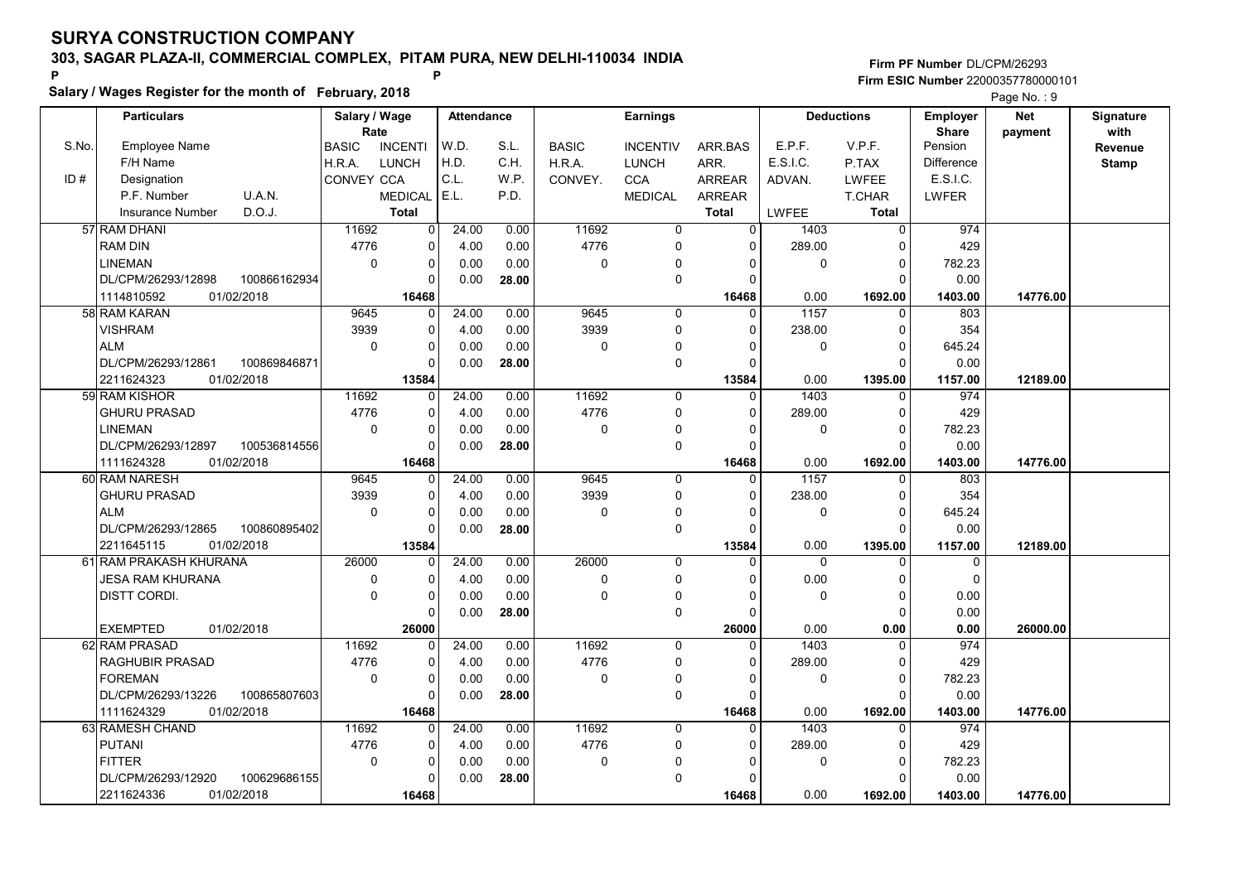Salary / Wages Register for the month of February, 2018

### Firm PF Number DL/CPM/26293 Firm ESIC Number <sup>22000357780000101</sup> P P

|       | <b>Particulars</b>                |              | Salary / Wage     |                | Attendance |       |              | <b>Earnings</b> |                |              | <b>Deductions</b> | <b>Employer</b>   | <b>Net</b> | Signature    |
|-------|-----------------------------------|--------------|-------------------|----------------|------------|-------|--------------|-----------------|----------------|--------------|-------------------|-------------------|------------|--------------|
|       |                                   |              | Rate              |                |            |       |              |                 |                |              |                   | <b>Share</b>      | payment    | with         |
| S.No. | Employee Name                     |              | <b>BASIC</b>      | <b>INCENTI</b> | W.D.       | S.L.  | <b>BASIC</b> | <b>INCENTIV</b> | ARR.BAS        | E.P.F.       | V.P.F.            | Pension           |            | Revenue      |
|       | F/H Name                          |              | H.R.A.            | <b>LUNCH</b>   | H.D.       | C.H.  | H.R.A.       | <b>LUNCH</b>    | ARR.           | E.S.I.C.     | P.TAX             | <b>Difference</b> |            | <b>Stamp</b> |
| ID#   | Designation                       |              | <b>CONVEY CCA</b> |                | C.L.       | W.P.  | CONVEY.      | <b>CCA</b>      | <b>ARREAR</b>  | ADVAN.       | LWFEE             | E.S.I.C.          |            |              |
|       | U.A.N.<br>P.F. Number             |              |                   | <b>MEDICAL</b> | E.L.       | P.D.  |              | <b>MEDICAL</b>  | ARREAR         |              | T.CHAR            | LWFER             |            |              |
|       | D.O.J.<br><b>Insurance Number</b> |              |                   | <b>Total</b>   |            |       |              |                 | <b>Total</b>   | LWFEE        | Total             |                   |            |              |
|       | 57 RAM DHANI                      |              | 11692             | $\overline{0}$ | 24.00      | 0.00  | 11692        | $\mathbf 0$     | $\overline{0}$ | 1403         | $\mathbf 0$       | 974               |            |              |
|       | <b>RAM DIN</b>                    |              | 4776              | 0              | 4.00       | 0.00  | 4776         | 0               | 0              | 289.00       | $\mathbf 0$       | 429               |            |              |
|       | <b>LINEMAN</b>                    |              | $\mathbf 0$       | 0              | 0.00       | 0.00  | $\mathbf 0$  | $\mathbf{0}$    | ∩              | 0            | $\Omega$          | 782.23            |            |              |
|       | DL/CPM/26293/12898                | 100866162934 |                   | $\mathbf 0$    | 0.00       | 28.00 |              | 0               | $\Omega$       |              |                   | 0.00              |            |              |
|       | 01/02/2018<br>1114810592          |              |                   | 16468          |            |       |              |                 | 16468          | 0.00         | 1692.00           | 1403.00           | 14776.00   |              |
|       | 58 RAM KARAN                      |              | 9645              | $\mathbf 0$    | 24.00      | 0.00  | 9645         | $\mathbf 0$     | $\mathbf{0}$   | 1157         | 0                 | 803               |            |              |
|       | <b>VISHRAM</b>                    |              | 3939              | $\mathbf 0$    | 4.00       | 0.00  | 3939         | 0               | $\Omega$       | 238.00       | $\Omega$          | 354               |            |              |
|       | <b>ALM</b>                        |              | $\mathbf 0$       | $\mathbf 0$    | 0.00       | 0.00  | 0            | 0               | $\Omega$       | $\mathbf 0$  | $\Omega$          | 645.24            |            |              |
|       | DL/CPM/26293/12861                | 100869846871 |                   | $\mathbf 0$    | 0.00       | 28.00 |              | 0               | $\Omega$       |              | $\Omega$          | 0.00              |            |              |
|       | 2211624323<br>01/02/2018          |              |                   | 13584          |            |       |              |                 | 13584          | 0.00         | 1395.00           | 1157.00           | 12189.00   |              |
|       | 59 RAM KISHOR                     |              | 11692             | $\mathbf 0$    | 24.00      | 0.00  | 11692        | 0               | $\Omega$       | 1403         | $\Omega$          | 974               |            |              |
|       | <b>GHURU PRASAD</b>               |              | 4776              | 0              | 4.00       | 0.00  | 4776         | 0               | $\Omega$       | 289.00       | $\Omega$          | 429               |            |              |
|       | <b>LINEMAN</b>                    |              | $\Omega$          | $\mathbf 0$    | 0.00       | 0.00  | $\Omega$     | $\Omega$        | $\Omega$       | $\mathbf{0}$ | $\mathbf 0$       | 782.23            |            |              |
|       | DL/CPM/26293/12897                | 100536814556 |                   | $\pmb{0}$      | 0.00       | 28.00 |              | 0               | 0              |              | $\Omega$          | 0.00              |            |              |
|       | 1111624328<br>01/02/2018          |              |                   | 16468          |            |       |              |                 | 16468          | 0.00         | 1692.00           | 1403.00           | 14776.00   |              |
|       | 60 RAM NARESH                     |              | 9645              | $\mathbf 0$    | 24.00      | 0.00  | 9645         | 0               | $\Omega$       | 1157         | $\Omega$          | 803               |            |              |
|       | <b>GHURU PRASAD</b>               |              | 3939              | $\mathbf 0$    | 4.00       | 0.00  | 3939         | 0               | $\Omega$       | 238.00       | $\mathbf 0$       | 354               |            |              |
|       | <b>ALM</b>                        |              | $\Omega$          | 0              | 0.00       | 0.00  | $\Omega$     | 0               | O              | $\mathbf{0}$ | $\Omega$          | 645.24            |            |              |
|       | DL/CPM/26293/12865                | 100860895402 |                   | $\mathbf 0$    | 0.00       | 28.00 |              | 0               | $\Omega$       |              | $\Omega$          | 0.00              |            |              |
|       | 01/02/2018<br>2211645115          |              |                   | 13584          |            |       |              |                 | 13584          | 0.00         | 1395.00           | 1157.00           | 12189.00   |              |
|       | 61 RAM PRAKASH KHURANA            |              | 26000             | $\Omega$       | 24.00      | 0.00  | 26000        | $\Omega$        | n              | $\Omega$     | $\Omega$          | 0                 |            |              |
|       | <b>JESA RAM KHURANA</b>           |              | $\mathbf 0$       | $\mathbf 0$    | 4.00       | 0.00  | $\Omega$     | $\Omega$        |                | 0.00         | $\Omega$          | $\Omega$          |            |              |
|       | DISTT CORDI.                      |              | $\mathbf 0$       | 0              | 0.00       | 0.00  | 0            | $\mathbf{0}$    | O              | $\mathbf 0$  | $\mathbf 0$       | 0.00              |            |              |
|       |                                   |              |                   | $\mathbf 0$    | 0.00       | 28.00 |              | 0               | O              |              | $\Omega$          | 0.00              |            |              |
|       | <b>EXEMPTED</b><br>01/02/2018     |              |                   | 26000          |            |       |              |                 | 26000          | 0.00         | 0.00              | 0.00              | 26000.00   |              |
|       | 62 RAM PRASAD                     |              | 11692             | 0              | 24.00      | 0.00  | 11692        | $\mathbf 0$     | $\Omega$       | 1403         | $\mathbf 0$       | 974               |            |              |
|       | <b>RAGHUBIR PRASAD</b>            |              | 4776              | $\mathbf 0$    | 4.00       | 0.00  | 4776         | 0               | $\Omega$       | 289.00       | $\Omega$          | 429               |            |              |
|       | <b>FOREMAN</b>                    |              | $\mathbf 0$       | $\mathbf 0$    | 0.00       | 0.00  | $\mathbf 0$  | $\mathbf 0$     | $\Omega$       | $\mathbf 0$  | $\mathbf 0$       | 782.23            |            |              |
|       | DL/CPM/26293/13226                | 100865807603 |                   | $\mathbf 0$    | 0.00       | 28.00 |              | 0               | ŋ              |              | $\Omega$          | 0.00              |            |              |
|       | 1111624329<br>01/02/2018          |              |                   | 16468          |            |       |              |                 | 16468          | 0.00         | 1692.00           | 1403.00           | 14776.00   |              |
|       | 63 RAMESH CHAND                   |              | 11692             | $\Omega$       | 24.00      | 0.00  | 11692        | 0               | $\Omega$       | 1403         | $\Omega$          | 974               |            |              |
|       | <b>PUTANI</b>                     |              | 4776              | 0              | 4.00       | 0.00  | 4776         | 0               | $\Omega$       | 289.00       | $\mathbf 0$       | 429               |            |              |
|       | <b>FITTER</b>                     |              | $\mathbf 0$       | $\pmb{0}$      | 0.00       | 0.00  | $\mathbf 0$  | $\Omega$        | $\Omega$       | $\mathbf 0$  | $\Omega$          | 782.23            |            |              |
|       | DL/CPM/26293/12920                | 100629686155 |                   | $\mathbf 0$    | 0.00       | 28.00 |              | $\Omega$        |                |              | $\Omega$          | 0.00              |            |              |
|       | 2211624336<br>01/02/2018          |              |                   | 16468          |            |       |              |                 | 16468          | 0.00         | 1692.00           | 1403.00           | 14776.00   |              |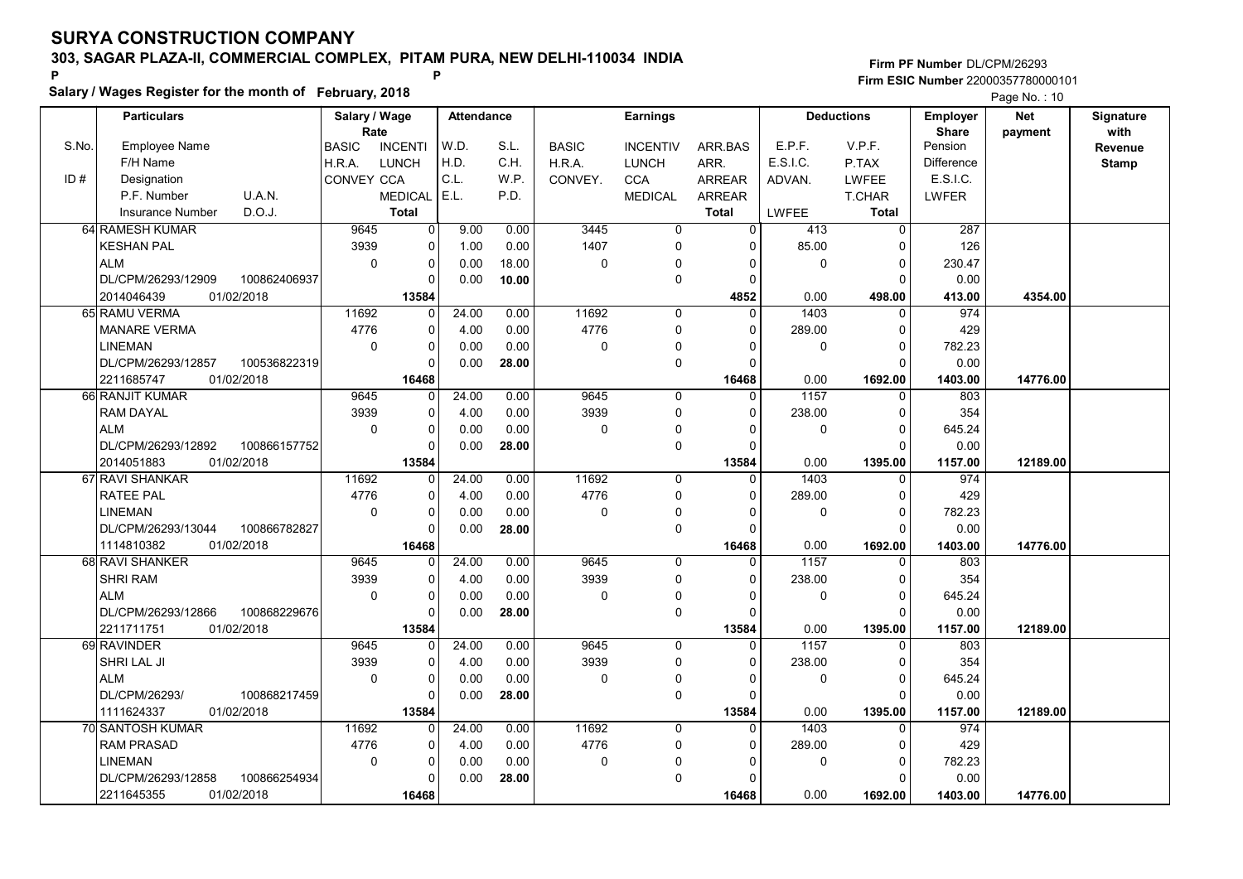Salary / Wages Register for the month of February, 2018

### Firm PF Number DL/CPM/26293 Firm ESIC Number <sup>22000357780000101</sup> P P

|       |                     |              |                       |                |                   |       |              |                 |               |             |                   |                                 | $1$ ago 110. $10$     |                   |
|-------|---------------------|--------------|-----------------------|----------------|-------------------|-------|--------------|-----------------|---------------|-------------|-------------------|---------------------------------|-----------------------|-------------------|
|       | <b>Particulars</b>  |              | Salary / Wage<br>Rate |                | <b>Attendance</b> |       |              | <b>Earnings</b> |               |             | <b>Deductions</b> | <b>Employer</b><br><b>Share</b> | <b>Net</b><br>payment | Signature<br>with |
| S.No. | Employee Name       |              | <b>BASIC</b>          | <b>INCENTI</b> | W.D.              | S.L.  | <b>BASIC</b> | <b>INCENTIV</b> | ARR BAS       | E.P.F.      | V.P.F.            | Pension                         |                       | Revenue           |
|       | F/H Name            |              | H.R.A.                | <b>LUNCH</b>   | H.D.              | C.H.  | H.R.A.       | <b>LUNCH</b>    | ARR.          | E.S.I.C.    | P.TAX             | Difference                      |                       | <b>Stamp</b>      |
| ID#   | Designation         |              | <b>CONVEY CCA</b>     |                | C.L.              | W.P.  | CONVEY.      | CCA             | <b>ARREAR</b> | ADVAN.      | LWFEE             | E.S.I.C.                        |                       |                   |
|       | P.F. Number         | U.A.N.       |                       | <b>MEDICAL</b> | E.L.              | P.D.  |              | <b>MEDICAL</b>  | <b>ARREAR</b> |             | T.CHAR            | LWFER                           |                       |                   |
|       | Insurance Number    | D.O.J.       |                       | <b>Total</b>   |                   |       |              |                 | <b>Total</b>  | LWFEE       | <b>Total</b>      |                                 |                       |                   |
|       | 64 RAMESH KUMAR     |              | 9645                  | $\overline{0}$ | 9.00              | 0.00  | 3445         | $\overline{0}$  | $\Omega$      | 413         | $\overline{0}$    | 287                             |                       |                   |
|       | <b>KESHAN PAL</b>   |              | 3939                  | 0              | 1.00              | 0.00  | 1407         | 0               | $\Omega$      | 85.00       | $\Omega$          | 126                             |                       |                   |
|       | <b>ALM</b>          |              | $\mathbf 0$           | 0              | 0.00              | 18.00 | $\mathbf 0$  | $\mathbf 0$     | $\Omega$      | $\mathbf 0$ | $\Omega$          | 230.47                          |                       |                   |
|       | DL/CPM/26293/12909  | 100862406937 |                       | $\Omega$       | 0.00              | 10.00 |              | 0               | $\Omega$      |             | $\Omega$          | 0.00                            |                       |                   |
|       |                     |              |                       | 13584          |                   |       |              |                 |               |             |                   |                                 | 4354.00               |                   |
|       | 2014046439          | 01/02/2018   |                       |                |                   |       |              |                 | 4852          | 0.00        | 498.00            | 413.00                          |                       |                   |
|       | 65 RAMU VERMA       |              | 11692                 | $\Omega$       | 24.00             | 0.00  | 11692        | $\Omega$        | $\Omega$      | 1403        | $\Omega$          | 974                             |                       |                   |
|       | <b>MANARE VERMA</b> |              | 4776                  | $\Omega$       | 4.00              | 0.00  | 4776         | 0               | $\Omega$      | 289.00      | $\Omega$          | 429                             |                       |                   |
|       | <b>LINEMAN</b>      |              | $\mathbf 0$           | 0              | 0.00              | 0.00  | $\mathbf 0$  | $\mathbf{0}$    | $\Omega$      | $\mathbf 0$ | $\mathbf 0$       | 782.23                          |                       |                   |
|       | DL/CPM/26293/12857  | 100536822319 |                       | $\Omega$       | 0.00              | 28.00 |              | 0               | $\Omega$      |             | $\Omega$          | 0.00                            |                       |                   |
|       | 2211685747          | 01/02/2018   |                       | 16468          |                   |       |              |                 | 16468         | 0.00        | 1692.00           | 1403.00                         | 14776.00              |                   |
|       | 66 RANJIT KUMAR     |              | 9645                  | 0              | 24.00             | 0.00  | 9645         | 0               | $\Omega$      | 1157        | $\Omega$          | 803                             |                       |                   |
|       | <b>RAM DAYAL</b>    |              | 3939                  | 0              | 4.00              | 0.00  | 3939         | 0               | $\Omega$      | 238.00      | $\mathbf 0$       | 354                             |                       |                   |
|       | <b>ALM</b>          |              | $\mathbf 0$           | 0              | 0.00              | 0.00  | $\mathbf 0$  | $\mathbf{0}$    | $\Omega$      | $\mathbf 0$ | $\Omega$          | 645.24                          |                       |                   |
|       | DL/CPM/26293/12892  | 100866157752 |                       | 0              | 0.00              | 28.00 |              | 0               | $\Omega$      |             | $\Omega$          | 0.00                            |                       |                   |
|       | 2014051883          | 01/02/2018   |                       | 13584          |                   |       |              |                 | 13584         | 0.00        | 1395.00           | 1157.00                         | 12189.00              |                   |
|       | 67 RAVI SHANKAR     |              | 11692                 | $\Omega$       | 24.00             | 0.00  | 11692        | 0               | $\Omega$      | 1403        | $\mathbf 0$       | 974                             |                       |                   |
|       | <b>RATEE PAL</b>    |              | 4776                  | 0              | 4.00              | 0.00  | 4776         | 0               | $\Omega$      | 289.00      | $\Omega$          | 429                             |                       |                   |
|       | <b>LINEMAN</b>      |              | $\mathbf 0$           | 0              | 0.00              | 0.00  | $\mathbf 0$  | 0               | $\Omega$      | $\mathbf 0$ | $\mathbf 0$       | 782.23                          |                       |                   |
|       | DL/CPM/26293/13044  | 100866782827 |                       | $\Omega$       | 0.00              | 28.00 |              | 0               | $\Omega$      |             | $\Omega$          | 0.00                            |                       |                   |
|       | 1114810382          | 01/02/2018   |                       | 16468          |                   |       |              |                 | 16468         | 0.00        | 1692.00           | 1403.00                         | 14776.00              |                   |
|       | 68 RAVI SHANKER     |              | 9645                  | 0              | 24.00             | 0.00  | 9645         | 0               | $\Omega$      | 1157        |                   | 803                             |                       |                   |
|       | <b>SHRI RAM</b>     |              | 3939                  | 0              | 4.00              | 0.00  | 3939         | 0               | $\Omega$      | 238.00      | $\Omega$          | 354                             |                       |                   |
|       | ALM                 |              | $\mathbf 0$           | 0              | 0.00              | 0.00  | $\Omega$     | 0               | $\Omega$      | $\mathbf 0$ | $\Omega$          | 645.24                          |                       |                   |
|       | DL/CPM/26293/12866  | 100868229676 |                       | 0              | 0.00              | 28.00 |              | 0               | $\Omega$      |             | $\Omega$          | 0.00                            |                       |                   |
|       | 2211711751          | 01/02/2018   |                       | 13584          |                   |       |              |                 | 13584         | 0.00        | 1395.00           | 1157.00                         | 12189.00              |                   |
|       | 69 RAVINDER         |              | 9645                  | 0              | 24.00             | 0.00  | 9645         | 0               | $\Omega$      | 1157        | $\Omega$          | 803                             |                       |                   |
|       | SHRI LAL JI         |              | 3939                  | 0              | 4.00              | 0.00  | 3939         | 0               | $\Omega$      | 238.00      | $\Omega$          | 354                             |                       |                   |
|       | ALM                 |              | $\pmb{0}$             | 0              | 0.00              | 0.00  | $\pmb{0}$    | 0               | $\Omega$      | $\mathbf 0$ | $\mathbf 0$       | 645.24                          |                       |                   |
|       | DL/CPM/26293/       | 100868217459 |                       | 0              | 0.00              | 28.00 |              | 0               | $\cap$        |             | $\Omega$          | 0.00                            |                       |                   |
|       | 1111624337          | 01/02/2018   |                       | 13584          |                   |       |              |                 | 13584         | 0.00        | 1395.00           | 1157.00                         | 12189.00              |                   |
|       | 70 SANTOSH KUMAR    |              | 11692                 |                | 24.00             | 0.00  | 11692        | $\Omega$        |               | 1403        |                   | 974                             |                       |                   |
|       | <b>RAM PRASAD</b>   |              | 4776                  | 0              | 4.00              | 0.00  | 4776         | 0               | $\Omega$      | 289.00      | $\Omega$          | 429                             |                       |                   |
|       | <b>LINEMAN</b>      |              | $\mathbf 0$           | 0              | 0.00              | 0.00  | $\mathbf 0$  |                 | $\Omega$      | $\mathbf 0$ | $\Omega$          | 782.23                          |                       |                   |
|       | DL/CPM/26293/12858  | 100866254934 |                       | $\Omega$       | 0.00              | 28.00 |              | $\Omega$        | $\Omega$      |             | $\Omega$          | 0.00                            |                       |                   |
|       | 2211645355          | 01/02/2018   |                       | 16468          |                   |       |              |                 | 16468         | 0.00        | 1692.00           | 1403.00                         | 14776.00              |                   |
|       |                     |              |                       |                |                   |       |              |                 |               |             |                   |                                 |                       |                   |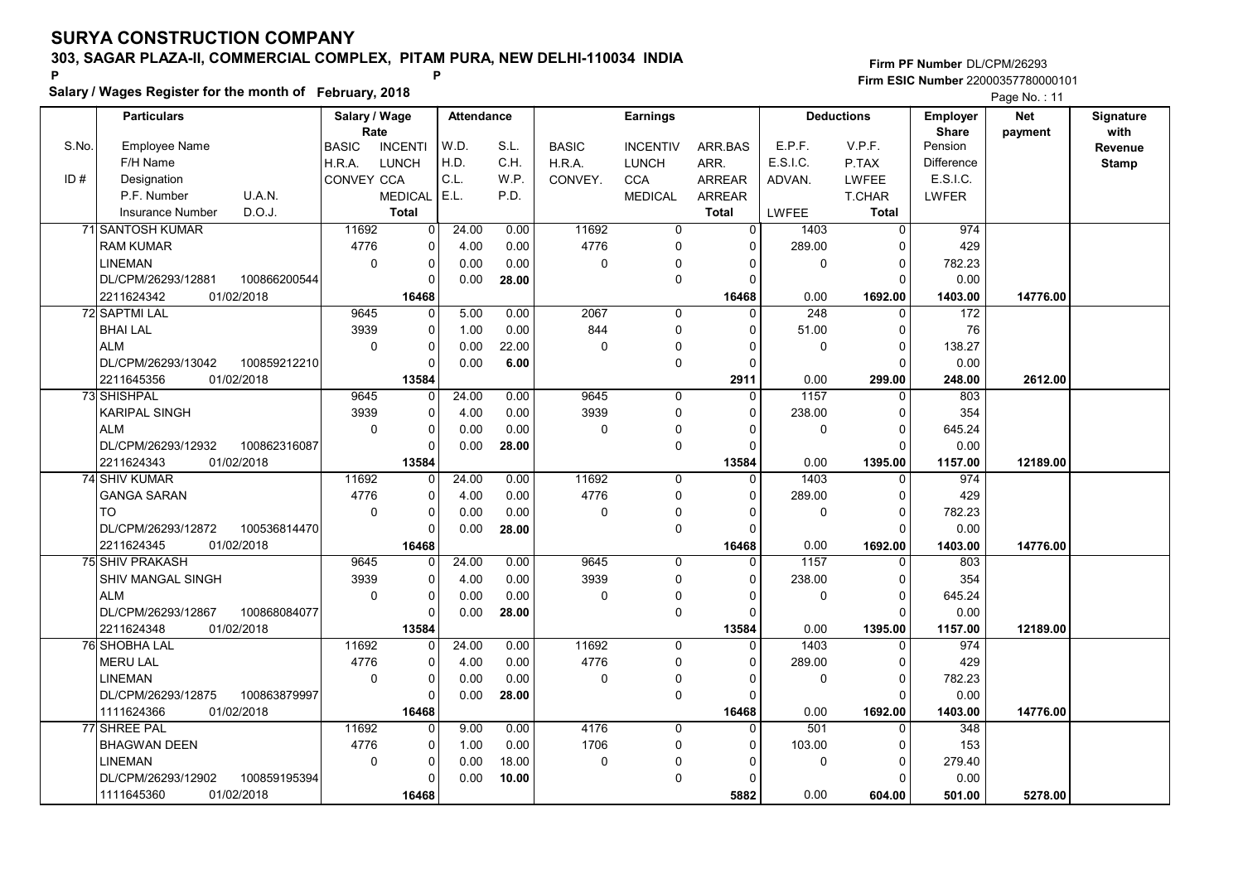Salary / Wages Register for the month of February, 2018

### Firm PF Number DL/CPM/26293 Firm ESIC Number <sup>22000357780000101</sup> P P

|       | <b>Particulars</b>       |              | Salary / Wage     |                | Attendance |       |              | <b>Earnings</b> |               |              | <b>Deductions</b> | <b>Employer</b>         | <b>Net</b> | Signature    |
|-------|--------------------------|--------------|-------------------|----------------|------------|-------|--------------|-----------------|---------------|--------------|-------------------|-------------------------|------------|--------------|
| S.No. | <b>Employee Name</b>     |              | Rate              |                | W.D.       | S.L.  |              |                 |               | E.P.F.       | V.P.F.            | <b>Share</b><br>Pension | payment    | with         |
|       |                          |              | <b>BASIC</b>      | <b>INCENTI</b> | H.D.       | C.H.  | <b>BASIC</b> | <b>INCENTIV</b> | ARR.BAS       | E.S.I.C.     |                   |                         |            | Revenue      |
| ID#   | F/H Name                 |              | H.R.A.            | <b>LUNCH</b>   | C.L.       |       | H.R.A.       | <b>LUNCH</b>    | ARR.          |              | P.TAX             | Difference<br>E.S.I.C.  |            | <b>Stamp</b> |
|       | Designation              |              | <b>CONVEY CCA</b> |                | E.L.       | W.P.  | CONVEY.      | <b>CCA</b>      | <b>ARREAR</b> | ADVAN.       | <b>LWFEE</b>      |                         |            |              |
|       | P.F. Number              | U.A.N.       |                   | <b>MEDICAL</b> |            | P.D.  |              | <b>MEDICAL</b>  | <b>ARREAR</b> |              | <b>T.CHAR</b>     | <b>LWFER</b>            |            |              |
|       | <b>Insurance Number</b>  | D.O.J.       |                   | <b>Total</b>   |            |       |              |                 | <b>Total</b>  | <b>LWFEE</b> | <b>Total</b>      |                         |            |              |
|       | 71 SANTOSH KUMAR         |              | 11692             | 0              | 24.00      | 0.00  | 11692        | $\mathbf 0$     | $\Omega$      | 1403         | 0                 | 974                     |            |              |
|       | <b>RAM KUMAR</b>         |              | 4776              | 0              | 4.00       | 0.00  | 4776         | 0               | 0             | 289.00       | 0                 | 429                     |            |              |
|       | <b>LINEMAN</b>           |              | $\Omega$          | 0              | 0.00       | 0.00  | 0            | $\Omega$        | $\Omega$      | 0            | $\Omega$          | 782.23                  |            |              |
|       | DL/CPM/26293/12881       | 100866200544 |                   | $\Omega$       | 0.00       | 28.00 |              | 0               | $\Omega$      |              | $\Omega$          | 0.00                    |            |              |
|       | 2211624342               | 01/02/2018   |                   | 16468          |            |       |              |                 | 16468         | 0.00         | 1692.00           | 1403.00                 | 14776.00   |              |
|       | 72 SAPTMI LAL            |              | 9645              | 0              | 5.00       | 0.00  | 2067         | 0               | $\Omega$      | 248          | 0                 | 172                     |            |              |
|       | <b>BHAI LAL</b>          |              | 3939              | 0              | 1.00       | 0.00  | 844          | 0               | $\Omega$      | 51.00        | $\mathbf 0$       | 76                      |            |              |
|       | <b>ALM</b>               |              | $\mathbf 0$       | 0              | 0.00       | 22.00 | 0            | 0               | $\Omega$      | $\mathbf 0$  | $\mathbf 0$       | 138.27                  |            |              |
|       | DL/CPM/26293/13042       | 100859212210 |                   | $\Omega$       | 0.00       | 6.00  |              | 0               | $\Omega$      |              | $\Omega$          | 0.00                    |            |              |
|       | 2211645356               | 01/02/2018   |                   | 13584          |            |       |              |                 | 2911          | 0.00         | 299.00            | 248.00                  | 2612.00    |              |
|       | 73 SHISHPAL              |              | 9645              | $\Omega$       | 24.00      | 0.00  | 9645         | 0               | $\Omega$      | 1157         | $\Omega$          | 803                     |            |              |
|       | <b>KARIPAL SINGH</b>     |              | 3939              | 0              | 4.00       | 0.00  | 3939         | 0               | $\Omega$      | 238.00       | $\Omega$          | 354                     |            |              |
|       | <b>ALM</b>               |              | $\mathbf 0$       | 0              | 0.00       | 0.00  | $\Omega$     | $\mathbf{0}$    | $\Omega$      | 0            | $\mathbf 0$       | 645.24                  |            |              |
|       | DL/CPM/26293/12932       | 100862316087 |                   | 0              | 0.00       | 28.00 |              | 0               | $\Omega$      |              | $\Omega$          | 0.00                    |            |              |
|       | 2211624343               | 01/02/2018   |                   | 13584          |            |       |              |                 | 13584         | 0.00         | 1395.00           | 1157.00                 | 12189.00   |              |
|       | 74 SHIV KUMAR            |              | 11692             | 0              | 24.00      | 0.00  | 11692        | 0               | $\Omega$      | 1403         | $\mathbf 0$       | 974                     |            |              |
|       | <b>GANGA SARAN</b>       |              | 4776              | $\Omega$       | 4.00       | 0.00  | 4776         | $\Omega$        | $\Omega$      | 289.00       | $\pmb{0}$         | 429                     |            |              |
|       | <b>TO</b>                |              | $\Omega$          | 0              | 0.00       | 0.00  | $\Omega$     | 0               | $\Omega$      | $\mathbf 0$  | $\mathbf 0$       | 782.23                  |            |              |
|       | DL/CPM/26293/12872       | 100536814470 |                   | $\Omega$       | 0.00       | 28.00 |              | 0               | $\Omega$      |              | $\Omega$          | 0.00                    |            |              |
|       | 2211624345               | 01/02/2018   |                   | 16468          |            |       |              |                 | 16468         | 0.00         | 1692.00           | 1403.00                 | 14776.00   |              |
|       | <b>75 SHIV PRAKASH</b>   |              | 9645              | $\Omega$       | 24.00      | 0.00  | 9645         | $\Omega$        | $\Omega$      | 1157         | $\Omega$          | 803                     |            |              |
|       | SHIV MANGAL SINGH        |              | 3939              | 0              | 4.00       | 0.00  | 3939         | 0               | $\Omega$      | 238.00       | $\Omega$          | 354                     |            |              |
|       | ALM                      |              | $\mathbf 0$       | 0              | 0.00       | 0.00  | 0            | 0               | $\Omega$      | $\mathbf 0$  | $\pmb{0}$         | 645.24                  |            |              |
|       | DL/CPM/26293/12867       | 100868084077 |                   | $\Omega$       | 0.00       | 28.00 |              | $\pmb{0}$       | $\Omega$      |              | $\Omega$          | 0.00                    |            |              |
|       | 2211624348               | 01/02/2018   |                   | 13584          |            |       |              |                 | 13584         | 0.00         | 1395.00           | 1157.00                 | 12189.00   |              |
|       | 76 SHOBHA LAL            |              | 11692             | 0              | 24.00      | 0.00  | 11692        | $\Omega$        | $\Omega$      | 1403         | $\Omega$          | 974                     |            |              |
|       | <b>MERU LAL</b>          |              | 4776              | 0              | 4.00       | 0.00  | 4776         | 0               | $\Omega$      | 289.00       | 0                 | 429                     |            |              |
|       | <b>LINEMAN</b>           |              | $\Omega$          | 0              | 0.00       | 0.00  | $\Omega$     | $\Omega$        | 0             | $\Omega$     | $\mathbf 0$       | 782.23                  |            |              |
|       | DL/CPM/26293/12875       | 100863879997 |                   | 0              | 0.00       | 28.00 |              | 0               | $\Omega$      |              | $\Omega$          | 0.00                    |            |              |
|       | 01/02/2018<br>1111624366 |              |                   | 16468          |            |       |              |                 | 16468         | 0.00         | 1692.00           | 1403.00                 | 14776.00   |              |
|       | 77 SHREE PAL             |              | 11692             | 0              | 9.00       | 0.00  | 4176         | 0               | $\Omega$      | 501          | 0                 | 348                     |            |              |
|       | <b>BHAGWAN DEEN</b>      |              | 4776              | 0              | 1.00       | 0.00  | 1706         | 0               | $\Omega$      | 103.00       | $\mathbf 0$       | 153                     |            |              |
|       | <b>LINEMAN</b>           |              | $\mathbf 0$       | 0              | 0.00       | 18.00 | $\Omega$     | $\Omega$        | $\Omega$      | 0            | $\mathbf 0$       | 279.40                  |            |              |
|       | DL/CPM/26293/12902       | 100859195394 |                   | $\Omega$       | 0.00       | 10.00 |              | 0               | $\Omega$      |              | $\Omega$          | 0.00                    |            |              |
|       | 1111645360               | 01/02/2018   |                   | 16468          |            |       |              |                 | 5882          | 0.00         | 604.00            | 501.00                  | 5278.00    |              |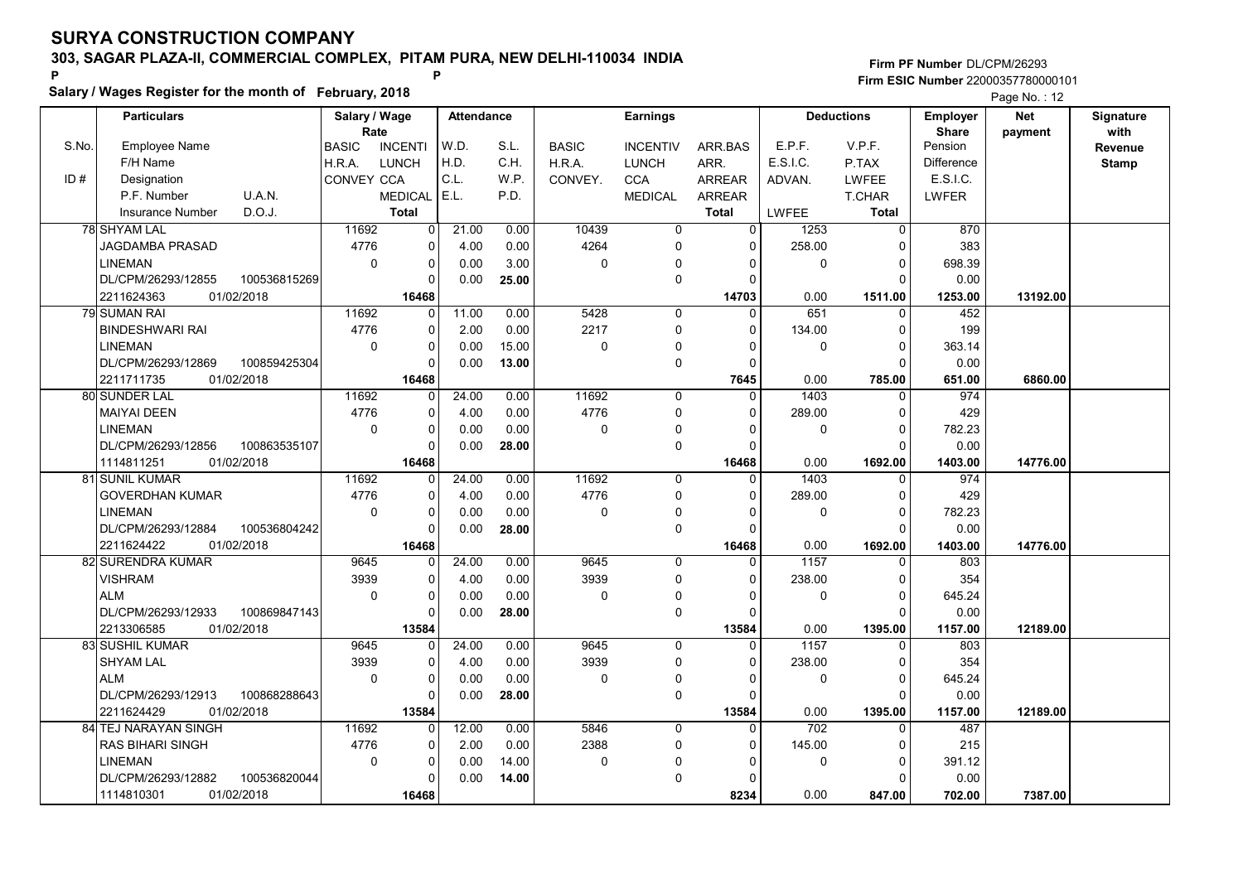Salary / Wages Register for the month of February, 2018

### Firm PF Number DL/CPM/26293 Firm ESIC Number <sup>22000357780000101</sup> P P

|       | <b>Particulars</b>      |              | Salary / Wage<br>Rate |                | <b>Attendance</b> |       |              | <b>Earnings</b> |               |              | <b>Deductions</b> | <b>Employer</b><br><b>Share</b> | Net      | Signature<br>with |
|-------|-------------------------|--------------|-----------------------|----------------|-------------------|-------|--------------|-----------------|---------------|--------------|-------------------|---------------------------------|----------|-------------------|
| S.No. | <b>Employee Name</b>    |              | <b>BASIC</b>          | <b>INCENTI</b> | W.D.              | S.L.  | <b>BASIC</b> | <b>INCENTIV</b> | ARR BAS       | E.P.F.       | V.P.F.            | Pension                         | payment  | Revenue           |
|       | F/H Name                |              | H.R.A.                | <b>LUNCH</b>   | H.D.              | C.H.  | H.R.A.       | <b>LUNCH</b>    | ARR.          | E.S.I.C.     | P.TAX             | <b>Difference</b>               |          |                   |
| ID#   |                         |              |                       |                | C.L.              |       |              |                 |               |              |                   | E.S.I.C.                        |          | <b>Stamp</b>      |
|       | Designation             |              | <b>CONVEY CCA</b>     |                |                   | W.P.  | CONVEY.      | <b>CCA</b>      | <b>ARREAR</b> | ADVAN.       | <b>LWFEE</b>      |                                 |          |                   |
|       | P.F. Number             | U.A.N.       |                       | <b>MEDICAL</b> | E.L.              | P.D.  |              | <b>MEDICAL</b>  | <b>ARREAR</b> |              | T.CHAR            | LWFER                           |          |                   |
|       | <b>Insurance Number</b> | D.O.J.       |                       | <b>Total</b>   |                   |       |              |                 | <b>Total</b>  | <b>LWFEE</b> | <b>Total</b>      |                                 |          |                   |
|       | 78 SHYAM LAL            |              | 11692                 | $\overline{0}$ | 21.00             | 0.00  | 10439        | $\overline{0}$  | $\Omega$      | 1253         | $\overline{0}$    | 870                             |          |                   |
|       | JAGDAMBA PRASAD         |              | 4776                  | 0              | 4.00              | 0.00  | 4264         | 0               | $\Omega$      | 258.00       | $\Omega$          | 383                             |          |                   |
|       | <b>LINEMAN</b>          |              | $\mathbf 0$           | 0              | 0.00              | 3.00  | $\mathbf 0$  | 0               | $\Omega$      | $\mathbf 0$  | $\mathbf 0$       | 698.39                          |          |                   |
|       | DL/CPM/26293/12855      | 100536815269 |                       | 0              | 0.00              | 25.00 |              | 0               | n             |              | $\Omega$          | 0.00                            |          |                   |
|       | 2211624363              | 01/02/2018   |                       | 16468          |                   |       |              |                 | 14703         | 0.00         | 1511.00           | 1253.00                         | 13192.00 |                   |
|       | 79 SUMAN RAI            |              | 11692                 | $\Omega$       | 11.00             | 0.00  | 5428         | $\overline{0}$  | $\Omega$      | 651          | $\overline{0}$    | 452                             |          |                   |
|       | <b>BINDESHWARI RAI</b>  |              | 4776                  | $\Omega$       | 2.00              | 0.00  | 2217         | 0               | $\Omega$      | 134.00       | $\Omega$          | 199                             |          |                   |
|       | <b>LINEMAN</b>          |              | $\mathbf 0$           | 0              | 0.00              | 15.00 | $\mathbf 0$  | $\Omega$        | $\Omega$      | $\mathbf 0$  | $\pmb{0}$         | 363.14                          |          |                   |
|       | DL/CPM/26293/12869      | 100859425304 |                       | $\Omega$       | 0.00              | 13.00 |              | 0               | $\Omega$      |              | $\Omega$          | 0.00                            |          |                   |
|       | 2211711735              | 01/02/2018   |                       | 16468          |                   |       |              |                 | 7645          | 0.00         | 785.00            | 651.00                          | 6860.00  |                   |
|       | 80 SUNDER LAL           |              | 11692                 | $\Omega$       | 24.00             | 0.00  | 11692        | 0               | $\Omega$      | 1403         | $\Omega$          | 974                             |          |                   |
|       | <b>MAIYAI DEEN</b>      |              | 4776                  | 0              | 4.00              | 0.00  | 4776         | 0               | $\Omega$      | 289.00       | 0                 | 429                             |          |                   |
|       | <b>LINEMAN</b>          |              | $\mathbf 0$           | 0              | 0.00              | 0.00  | $\mathbf 0$  | $\Omega$        | O             | $\mathbf 0$  | $\mathbf 0$       | 782.23                          |          |                   |
|       | DL/CPM/26293/12856      | 100863535107 |                       | $\Omega$       | 0.00              | 28.00 |              | 0               | $\Omega$      |              | $\Omega$          | 0.00                            |          |                   |
|       | 1114811251              | 01/02/2018   |                       | 16468          |                   |       |              |                 | 16468         | 0.00         | 1692.00           | 1403.00                         | 14776.00 |                   |
|       | 81 SUNIL KUMAR          |              | 11692                 | $\Omega$       | 24.00             | 0.00  | 11692        | $\mathbf 0$     | $\Omega$      | 1403         | $\mathbf 0$       | 974                             |          |                   |
|       | <b>GOVERDHAN KUMAR</b>  |              | 4776                  | 0              | 4.00              | 0.00  | 4776         | 0               | $\Omega$      | 289.00       | $\mathbf 0$       | 429                             |          |                   |
|       | <b>LINEMAN</b>          |              | $\mathbf 0$           | $\Omega$       | 0.00              | 0.00  | $\mathbf 0$  | 0               | $\Omega$      | $\mathbf 0$  | $\mathbf 0$       | 782.23                          |          |                   |
|       | DL/CPM/26293/12884      | 100536804242 |                       | $\Omega$       | 0.00              | 28.00 |              | 0               | C             |              | $\Omega$          | 0.00                            |          |                   |
|       | 2211624422              | 01/02/2018   |                       | 16468          |                   |       |              |                 | 16468         | 0.00         | 1692.00           | 1403.00                         | 14776.00 |                   |
|       | 82 SURENDRA KUMAR       |              | 9645                  | $\Omega$       | 24.00             | 0.00  | 9645         | 0               | $\Omega$      | 1157         | $\Omega$          | 803                             |          |                   |
|       | <b>VISHRAM</b>          |              | 3939                  | 0              | 4.00              | 0.00  | 3939         | 0               | $\Omega$      | 238.00       | $\mathbf 0$       | 354                             |          |                   |
|       | <b>ALM</b>              |              | $\mathbf 0$           | 0              | 0.00              | 0.00  | $\Omega$     | $\Omega$        | $\Omega$      | $\mathbf 0$  | $\mathbf 0$       | 645.24                          |          |                   |
|       | DL/CPM/26293/12933      | 100869847143 |                       | 0              | 0.00              | 28.00 |              | 0               | $\Omega$      |              | $\Omega$          | 0.00                            |          |                   |
|       | 2213306585              | 01/02/2018   |                       | 13584          |                   |       |              |                 | 13584         | 0.00         | 1395.00           | 1157.00                         | 12189.00 |                   |
|       | <b>83 SUSHIL KUMAR</b>  |              | 9645                  | $\Omega$       | 24.00             | 0.00  | 9645         | $\Omega$        | $\Omega$      | 1157         | $\Omega$          | 803                             |          |                   |
|       | <b>SHYAM LAL</b>        |              | 3939                  | $\Omega$       | 4.00              | 0.00  | 3939         | $\Omega$        | $\Omega$      | 238.00       | $\Omega$          | 354                             |          |                   |
|       | <b>ALM</b>              |              | $\Omega$              | 0              | 0.00              | 0.00  | $\mathbf 0$  | $\mathbf 0$     | $\Omega$      | $\mathbf 0$  | $\mathbf 0$       | 645.24                          |          |                   |
|       | DL/CPM/26293/12913      | 100868288643 |                       | $\Omega$       | 0.00              | 28.00 |              | 0               |               |              | $\Omega$          | 0.00                            |          |                   |
|       | 2211624429              | 01/02/2018   |                       | 13584          |                   |       |              |                 | 13584         | 0.00         | 1395.00           | 1157.00                         | 12189.00 |                   |
|       | 84 TEJ NARAYAN SINGH    |              | 11692                 | 0              | 12.00             | 0.00  | 5846         | $\Omega$        | $\Omega$      | 702          | $\Omega$          | 487                             |          |                   |
|       | <b>RAS BIHARI SINGH</b> |              | 4776                  | 0              | 2.00              | 0.00  | 2388         | 0               | $\Omega$      | 145.00       | $\mathbf 0$       | 215                             |          |                   |
|       | <b>LINEMAN</b>          |              | $\pmb{0}$             | 0              | 0.00              | 14.00 | $\mathbf 0$  | $\mathbf{0}$    | 0             | 0            | $\pmb{0}$         | 391.12                          |          |                   |
|       | DL/CPM/26293/12882      | 100536820044 |                       | $\Omega$       | 0.00              | 14.00 |              | $\Omega$        |               |              | $\Omega$          | 0.00                            |          |                   |
|       | 1114810301              | 01/02/2018   |                       | 16468          |                   |       |              |                 | 8234          | 0.00         | 847.00            | 702.00                          | 7387.00  |                   |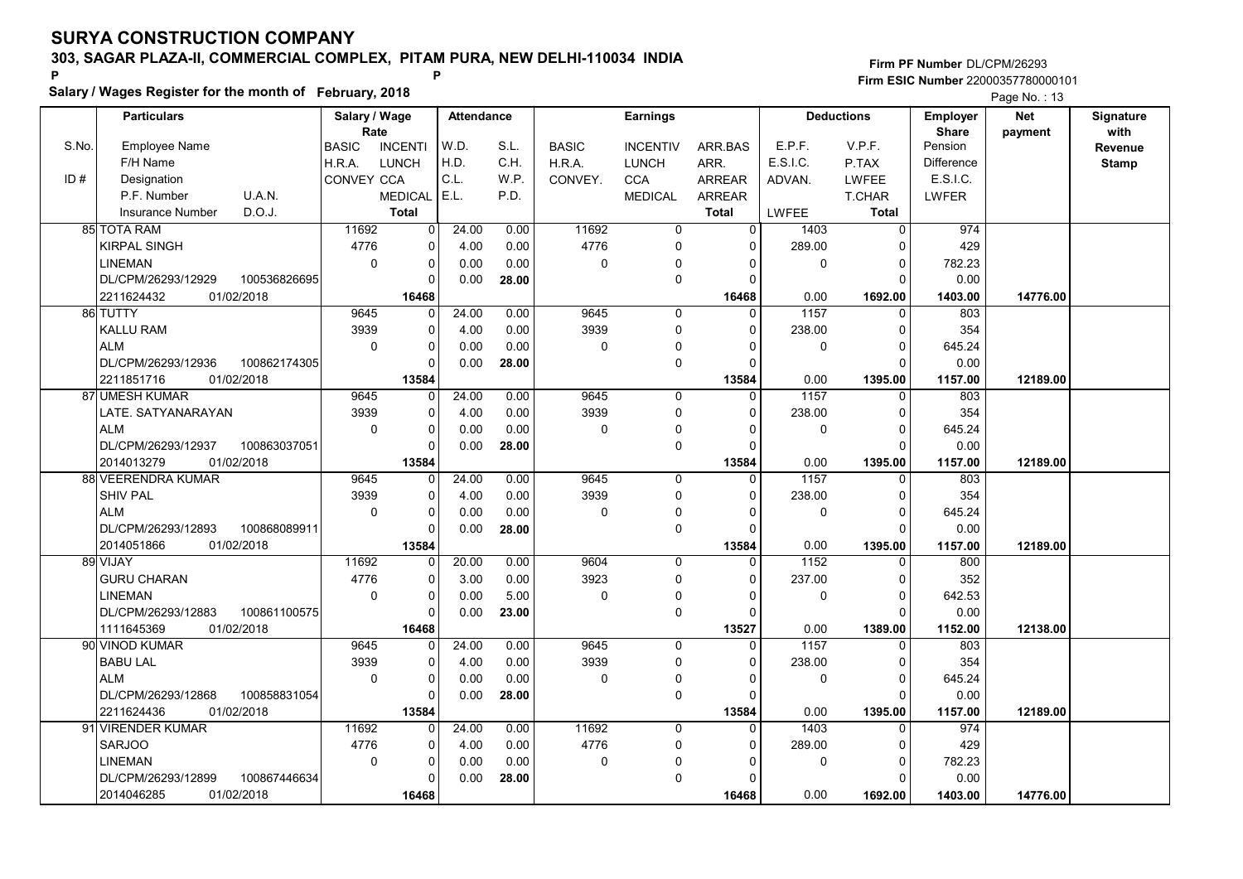Salary / Wages Register for the month of February, 2018

### Firm PF Number DL/CPM/26293 Firm ESIC Number <sup>22000357780000101</sup> P P

|       | <b>Particulars</b>                 | Salary / Wage<br>Rate |                | <b>Attendance</b> |       | <b>Earnings</b> |                 |                | <b>Deductions</b> |               | <b>Employer</b>         | <b>Net</b> | Signature<br>with |
|-------|------------------------------------|-----------------------|----------------|-------------------|-------|-----------------|-----------------|----------------|-------------------|---------------|-------------------------|------------|-------------------|
| S.No. | <b>Employee Name</b>               | <b>BASIC</b>          | <b>INCENTI</b> | W.D.              | S.L.  | <b>BASIC</b>    | <b>INCENTIV</b> | ARR.BAS        | E.P.F.            | V.P.F.        | <b>Share</b><br>Pension | payment    | Revenue           |
|       | F/H Name                           | H.R.A.                | <b>LUNCH</b>   | H.D.              | C.H.  | H.R.A.          | <b>LUNCH</b>    | ARR.           | E.S.I.C.          | P.TAX         | <b>Difference</b>       |            | <b>Stamp</b>      |
| ID#   | Designation                        | <b>CONVEY CCA</b>     |                | C.L.              | W.P.  | CONVEY.         | <b>CCA</b>      | <b>ARREAR</b>  | ADVAN.            | <b>LWFEE</b>  | E.S.I.C.                |            |                   |
|       | P.F. Number<br>U.A.N.              |                       | <b>MEDICAL</b> | E.L.              | P.D.  |                 | <b>MEDICAL</b>  | <b>ARREAR</b>  |                   | <b>T.CHAR</b> | LWFER                   |            |                   |
|       | D.O.J.<br><b>Insurance Number</b>  |                       | <b>Total</b>   |                   |       |                 |                 | <b>Total</b>   | <b>LWFEE</b>      | <b>Total</b>  |                         |            |                   |
|       | 85 TOTA RAM                        | 11692                 | 0              | 24.00             | 0.00  | 11692           | 0               | $\overline{0}$ | 1403              | $\mathbf 0$   | 974                     |            |                   |
|       | <b>KIRPAL SINGH</b>                | 4776                  | $\mathbf 0$    | 4.00              | 0.00  | 4776            | $\Omega$        | $\Omega$       | 289.00            | $\Omega$      | 429                     |            |                   |
|       | <b>LINEMAN</b>                     | $\Omega$              | $\mathbf 0$    | 0.00              | 0.00  | $\mathbf 0$     | $\mathbf{0}$    | 0              | $\Omega$          | $\Omega$      | 782.23                  |            |                   |
|       | 100536826695<br>DL/CPM/26293/12929 |                       | $\Omega$       | 0.00              | 28.00 |                 | $\mathbf 0$     | $\Omega$       |                   | $\Omega$      | 0.00                    |            |                   |
|       | 01/02/2018<br>2211624432           |                       | 16468          |                   |       |                 |                 | 16468          | 0.00              | 1692.00       | 1403.00                 | 14776.00   |                   |
|       | 86 TUTTY                           | 9645                  | $\mathbf 0$    | 24.00             | 0.00  | 9645            | 0               | $\mathbf{0}$   | 1157              | $\mathbf 0$   | 803                     |            |                   |
|       | KALLU RAM                          | 3939                  | $\Omega$       | 4.00              | 0.00  | 3939            | $\Omega$        | $\Omega$       | 238.00            | $\Omega$      | 354                     |            |                   |
|       | <b>ALM</b>                         | $\Omega$              | $\mathbf 0$    | 0.00              | 0.00  | $\mathbf 0$     | $\mathbf 0$     | $\Omega$       | 0                 | $\Omega$      | 645.24                  |            |                   |
|       | DL/CPM/26293/12936<br>100862174305 |                       | $\Omega$       | 0.00              | 28.00 |                 | $\mathbf 0$     | $\Omega$       |                   | $\Omega$      | 0.00                    |            |                   |
|       | 01/02/2018<br>2211851716           |                       | 13584          |                   |       |                 |                 | 13584          | 0.00              | 1395.00       | 1157.00                 | 12189.00   |                   |
|       | 87 UMESH KUMAR                     | 9645                  | 0              | 24.00             | 0.00  | 9645            | $\mathbf 0$     | $\mathbf 0$    | 1157              | 0             | 803                     |            |                   |
|       | LATE. SATYANARAYAN                 | 3939                  | $\mathbf 0$    | 4.00              | 0.00  | 3939            | $\mathbf 0$     | $\Omega$       | 238.00            | $\Omega$      | 354                     |            |                   |
|       | <b>ALM</b>                         | $\mathbf 0$           | 0              | 0.00              | 0.00  | 0               | 0               | $\Omega$       | 0                 | $\Omega$      | 645.24                  |            |                   |
|       | DL/CPM/26293/12937<br>100863037051 |                       | $\Omega$       | 0.00              | 28.00 |                 | $\mathbf 0$     | $\Omega$       |                   | $\Omega$      | 0.00                    |            |                   |
|       | 2014013279<br>01/02/2018           |                       | 13584          |                   |       |                 |                 | 13584          | 0.00              | 1395.00       | 1157.00                 | 12189.00   |                   |
|       | 88 VEERENDRA KUMAR                 | 9645                  | 0              | 24.00             | 0.00  | 9645            | $\mathbf 0$     | $\mathbf{0}$   | 1157              | $\mathbf 0$   | 803                     |            |                   |
|       | SHIV PAL                           | 3939                  | $\mathbf 0$    | 4.00              | 0.00  | 3939            | 0               | $\Omega$       | 238.00            | $\mathbf 0$   | 354                     |            |                   |
|       | <b>ALM</b>                         | $\Omega$              | $\Omega$       | 0.00              | 0.00  | $\mathbf 0$     | 0               | $\Omega$       | 0                 | $\Omega$      | 645.24                  |            |                   |
|       | DL/CPM/26293/12893<br>100868089911 |                       | $\Omega$       | 0.00              | 28.00 |                 | $\mathbf 0$     | $\Omega$       |                   | $\Omega$      | 0.00                    |            |                   |
|       | 01/02/2018<br>2014051866           |                       | 13584          |                   |       |                 |                 | 13584          | 0.00              | 1395.00       | 1157.00                 | 12189.00   |                   |
|       | 89 VIJAY                           | 11692                 | $\Omega$       | 20.00             | 0.00  | 9604            | $\Omega$        | $\Omega$       | 1152              | $\Omega$      | 800                     |            |                   |
|       | <b>GURU CHARAN</b>                 | 4776                  | $\Omega$       | 3.00              | 0.00  | 3923            | $\Omega$        | $\Omega$       | 237.00            | $\Omega$      | 352                     |            |                   |
|       | <b>LINEMAN</b>                     | $\mathbf 0$           | $\mathbf 0$    | 0.00              | 5.00  | 0               | $\Omega$        | $\Omega$       | 0                 | $\mathbf 0$   | 642.53                  |            |                   |
|       | DL/CPM/26293/12883<br>100861100575 |                       | $\mathbf 0$    | 0.00              | 23.00 |                 | $\mathbf 0$     | $\Omega$       |                   | $\Omega$      | 0.00                    |            |                   |
|       | 01/02/2018<br>1111645369           |                       | 16468          |                   |       |                 |                 | 13527          | 0.00              | 1389.00       | 1152.00                 | 12138.00   |                   |
|       | 90 VINOD KUMAR                     | 9645                  | 0              | 24.00             | 0.00  | 9645            | $\Omega$        | $\Omega$       | 1157              | $\mathbf 0$   | 803                     |            |                   |
|       | <b>BABU LAL</b>                    | 3939                  | 0              | 4.00              | 0.00  | 3939            | 0               | 0              | 238.00            | $\Omega$      | 354                     |            |                   |
|       | <b>ALM</b>                         | $\Omega$              | 0              | 0.00              | 0.00  | $\mathbf 0$     | 0               | $\Omega$       | 0                 | $\Omega$      | 645.24                  |            |                   |
|       | DL/CPM/26293/12868<br>100858831054 |                       | $\Omega$       | 0.00              | 28.00 |                 | $\mathbf 0$     | $\Omega$       |                   | $\Omega$      | 0.00                    |            |                   |
|       | 01/02/2018<br>2211624436           |                       | 13584          |                   |       |                 |                 | 13584          | 0.00              | 1395.00       | 1157.00                 | 12189.00   |                   |
|       | 91 VIRENDER KUMAR                  | 11692                 | 0              | 24.00             | 0.00  | 11692           | 0               | $\mathbf{0}$   | 1403              | 0             | 974                     |            |                   |
|       | <b>SARJOO</b>                      | 4776                  | $\mathbf 0$    | 4.00              | 0.00  | 4776            | $\mathbf 0$     | $\Omega$       | 289.00            | $\Omega$      | 429                     |            |                   |
|       | <b>LINEMAN</b>                     | $\mathbf 0$           | 0              | 0.00              | 0.00  | $\mathbf 0$     | $\mathbf{0}$    | $\Omega$       | 0                 | $\mathbf 0$   | 782.23                  |            |                   |
|       | DL/CPM/26293/12899<br>100867446634 |                       | $\Omega$       | 0.00              | 28.00 |                 | $\mathbf 0$     | $\Omega$       |                   | $\Omega$      | 0.00                    |            |                   |
|       | 01/02/2018<br>2014046285           |                       | 16468          |                   |       |                 |                 | 16468          | 0.00              | 1692.00       | 1403.00                 | 14776.00   |                   |
|       |                                    |                       |                |                   |       |                 |                 |                |                   |               |                         |            |                   |